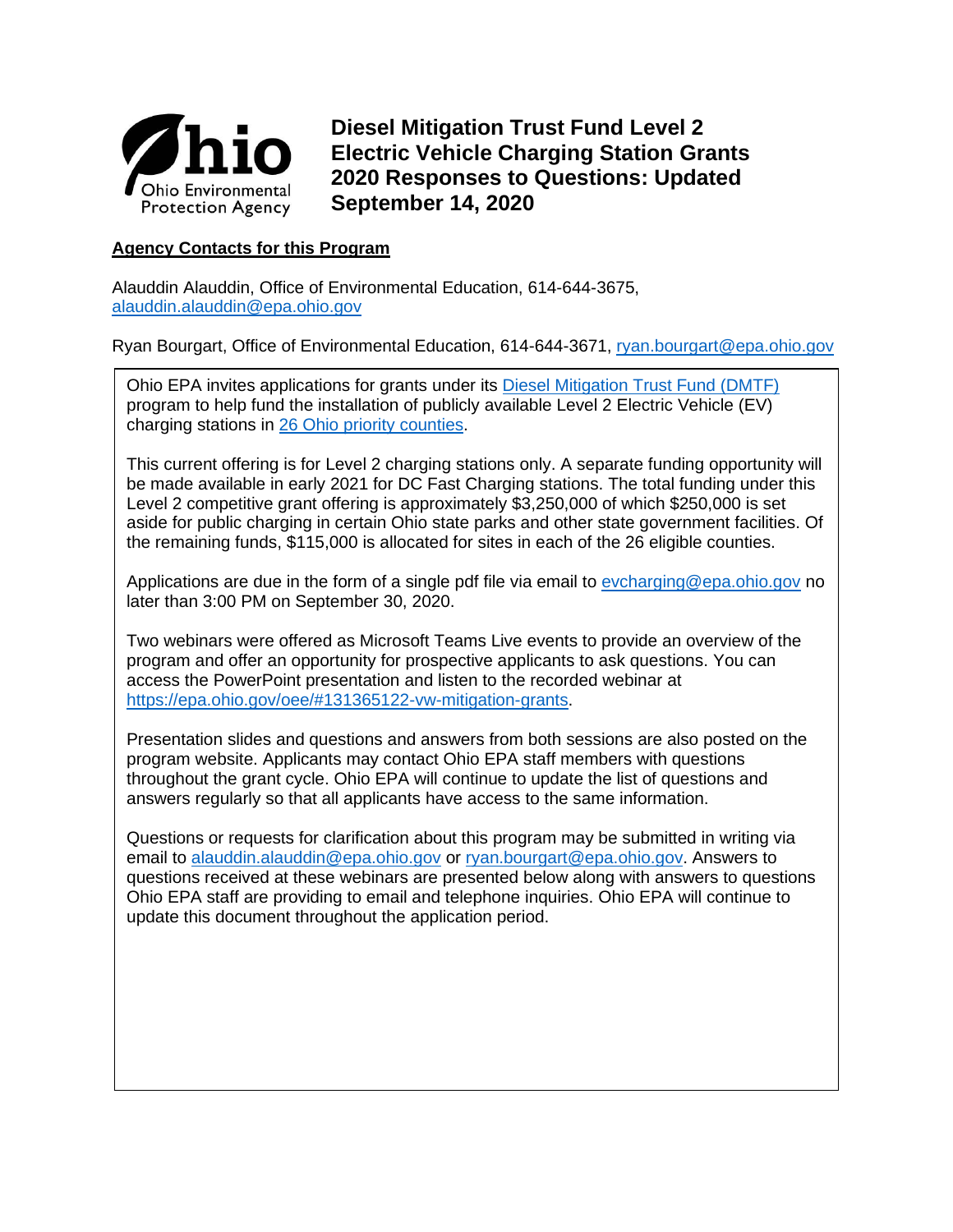

**Diesel Mitigation Trust Fund Level 2 Electric Vehicle Charging Station Grants 2020 Responses to Questions: Updated September 14, 2020**

# **Agency Contacts for this Program**

Alauddin Alauddin, Office of Environmental Education, 614-644-3675, [alauddin.alauddin@epa.ohio.gov](mailto:alauddin.alauddin@epa.ohio.gov)

Ryan Bourgart, Office of Environmental Education, 614-644-3671, [ryan.bourgart@epa.ohio.gov](mailto:ryan.bourgart@epa.ohio.gov)

Ohio EPA invites applications for grants under its [Diesel Mitigation Trust Fund \(DMTF\)](http://epa.ohio.gov/oee/#131365122-vw-mitigation-grants) program to help fund the installation of publicly available Level 2 Electric Vehicle (EV) charging stations in [26 Ohio priority counties.](https://epa.ohio.gov/Portals/42/documents/VW/DMTF%20priority%20counties%20final.jpg)

This current offering is for Level 2 charging stations only. A separate funding opportunity will be made available in early 2021 for DC Fast Charging stations. The total funding under this Level 2 competitive grant offering is approximately \$3,250,000 of which \$250,000 is set aside for public charging in certain Ohio state parks and other state government facilities. Of the remaining funds, \$115,000 is allocated for sites in each of the 26 eligible counties.

Applications are due in the form of a single pdf file via email to [evcharging@epa.ohio.gov](mailto:evcharging@epa.ohio.gov) no later than 3:00 PM on September 30, 2020.

Two webinars were offered as Microsoft Teams Live events to provide an overview of the program and offer an opportunity for prospective applicants to ask questions. You can access the PowerPoint presentation and listen to the recorded webinar at [https://epa.ohio.gov/oee/#131365122-vw-mitigation-grants.](https://epa.ohio.gov/oee/#131365122-vw-mitigation-grants)

Presentation slides and questions and answers from both sessions are also posted on the program website. Applicants may contact Ohio EPA staff members with questions throughout the grant cycle. Ohio EPA will continue to update the list of questions and answers regularly so that all applicants have access to the same information.

Questions or requests for clarification about this program may be submitted in writing via email to [alauddin.alauddin@epa.ohio.gov](mailto:alauddin.alauddin@epa.ohio.gov) or [ryan.bourgart@epa.ohio.gov.](mailto:ryan.bourgart@epa.ohio.gov) Answers to questions received at these webinars are presented below along with answers to questions Ohio EPA staff are providing to email and telephone inquiries. Ohio EPA will continue to update this document throughout the application period.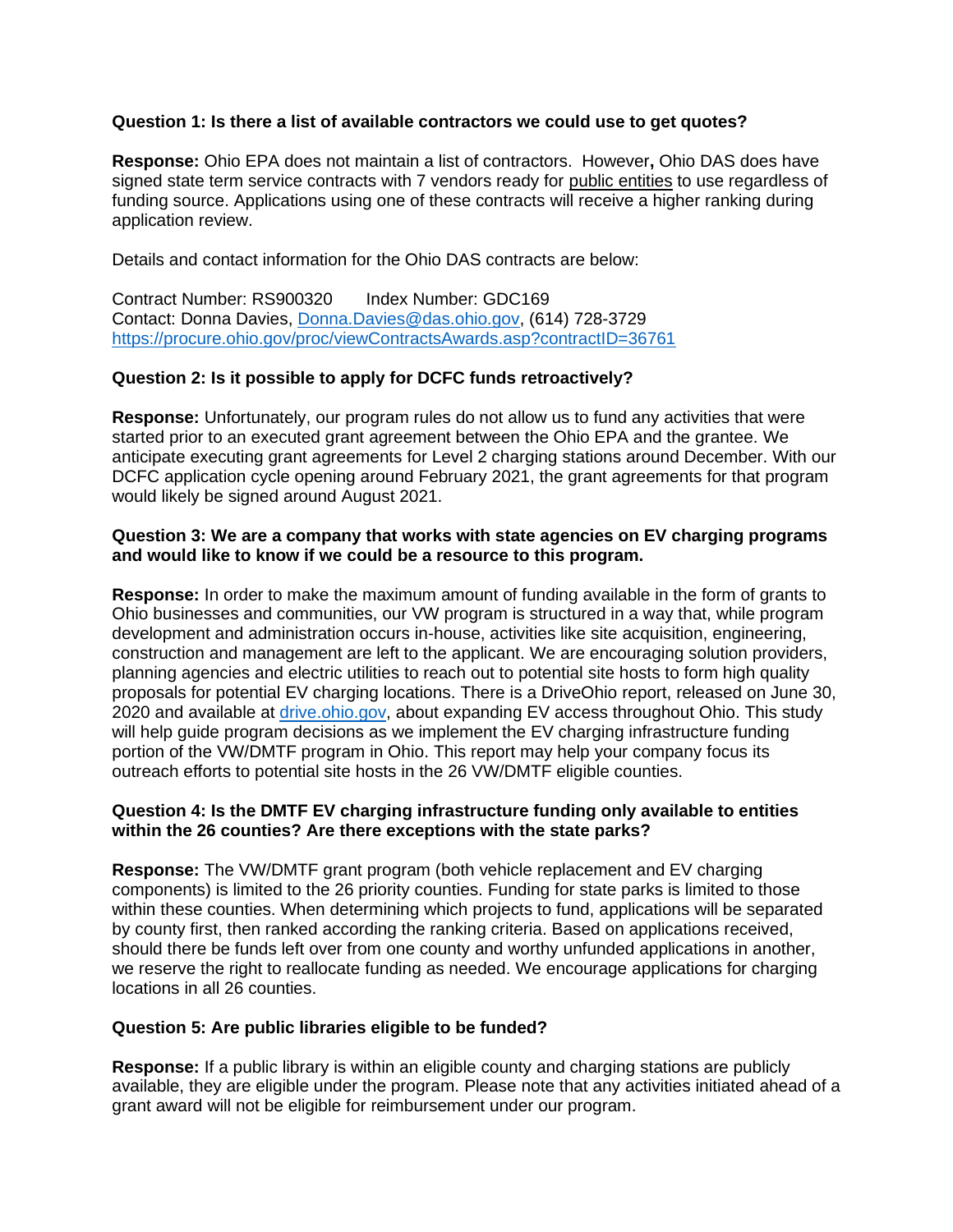# **Question 1: Is there a list of available contractors we could use to get quotes?**

**Response:** Ohio EPA does not maintain a list of contractors. However**,** Ohio DAS does have signed state term service contracts with 7 vendors ready for public entities to use regardless of funding source. Applications using one of these contracts will receive a higher ranking during application review.

Details and contact information for the Ohio DAS contracts are below:

Contract Number: RS900320 Index Number: GDC169 Contact: Donna Davies, [Donna.Davies@das.ohio.gov,](mailto:Donna.Davies@das.ohio.gov) (614) 728-3729 <https://procure.ohio.gov/proc/viewContractsAwards.asp?contractID=36761>

# **Question 2: Is it possible to apply for DCFC funds retroactively?**

**Response:** Unfortunately, our program rules do not allow us to fund any activities that were started prior to an executed grant agreement between the Ohio EPA and the grantee. We anticipate executing grant agreements for Level 2 charging stations around December. With our DCFC application cycle opening around February 2021, the grant agreements for that program would likely be signed around August 2021.

# **Question 3: We are a company that works with state agencies on EV charging programs and would like to know if we could be a resource to this program.**

**Response:** In order to make the maximum amount of funding available in the form of grants to Ohio businesses and communities, our VW program is structured in a way that, while program development and administration occurs in-house, activities like site acquisition, engineering, construction and management are left to the applicant. We are encouraging solution providers, planning agencies and electric utilities to reach out to potential site hosts to form high quality proposals for potential EV charging locations. There is a DriveOhio report, released on June 30, 2020 and available at [drive.ohio.gov,](file://///fs.ohio.gov/epashares/censupp/DATA/EEF/VW/EV%20Charging%20RFP/2020%20DMTF%20Level%202%20EVSE%20RFA/Outreach%202020%20EV%20L2%20RFA/Outreach%202020%20VW%20Fleet%20RFA/drive.ohio.gov) about expanding EV access throughout Ohio. This study will help guide program decisions as we implement the EV charging infrastructure funding portion of the VW/DMTF program in Ohio. This report may help your company focus its outreach efforts to potential site hosts in the 26 VW/DMTF eligible counties.

# **Question 4: Is the DMTF EV charging infrastructure funding only available to entities within the 26 counties? Are there exceptions with the state parks?**

**Response:** The VW/DMTF grant program (both vehicle replacement and EV charging components) is limited to the 26 priority counties. Funding for state parks is limited to those within these counties. When determining which projects to fund, applications will be separated by county first, then ranked according the ranking criteria. Based on applications received, should there be funds left over from one county and worthy unfunded applications in another, we reserve the right to reallocate funding as needed. We encourage applications for charging locations in all 26 counties.

# **Question 5: Are public libraries eligible to be funded?**

**Response:** If a public library is within an eligible county and charging stations are publicly available, they are eligible under the program. Please note that any activities initiated ahead of a grant award will not be eligible for reimbursement under our program.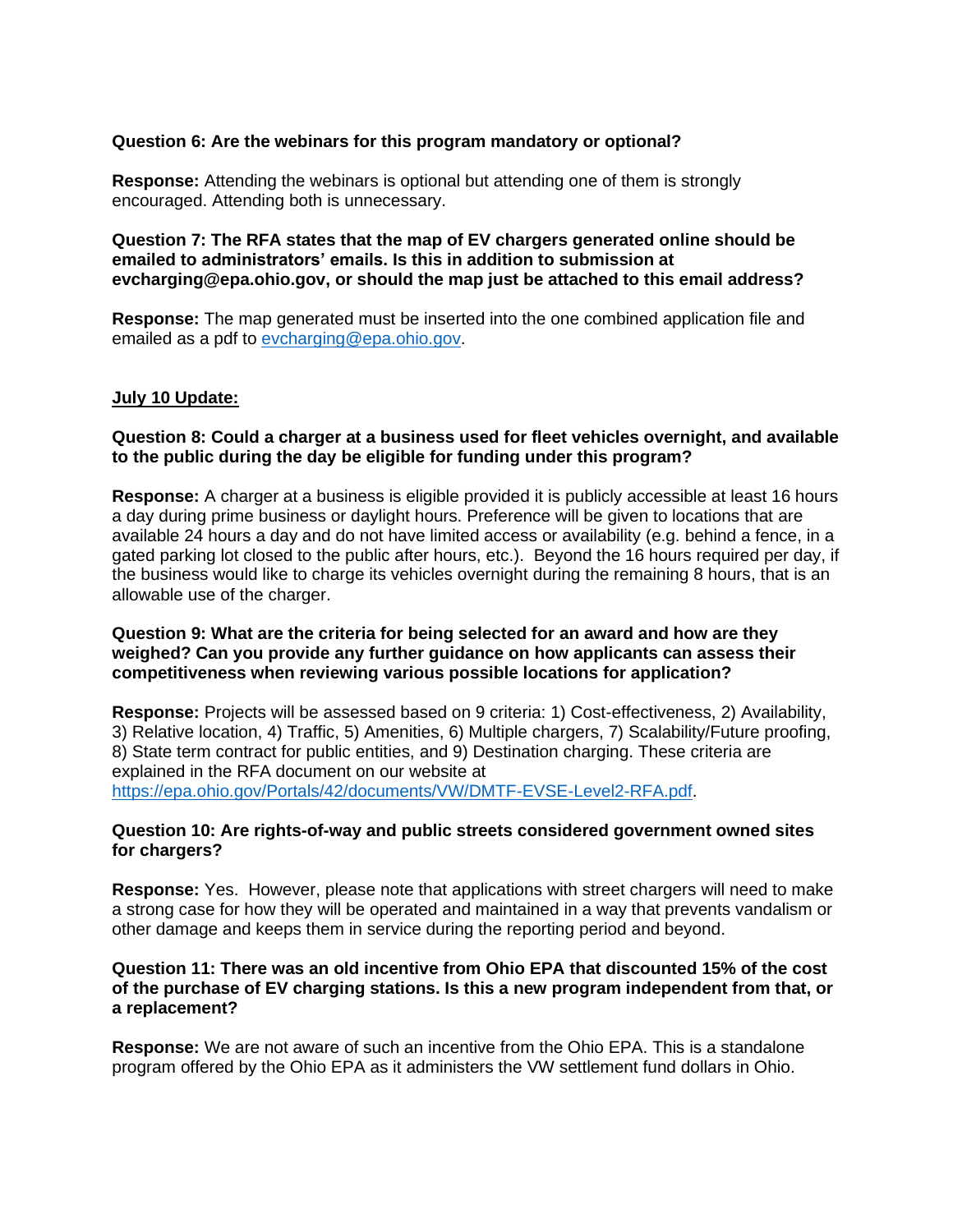# **Question 6: Are the webinars for this program mandatory or optional?**

**Response:** Attending the webinars is optional but attending one of them is strongly encouraged. Attending both is unnecessary.

## **Question 7: The RFA states that the map of EV chargers generated online should be emailed to administrators' emails. Is this in addition to submission at evcharging@epa.ohio.gov, or should the map just be attached to this email address?**

**Response:** The map generated must be inserted into the one combined application file and emailed as a pdf to [evcharging@epa.ohio.gov.](mailto:evcharging@epa.ohio.gov)

### **July 10 Update:**

# **Question 8: Could a charger at a business used for fleet vehicles overnight, and available to the public during the day be eligible for funding under this program?**

**Response:** A charger at a business is eligible provided it is publicly accessible at least 16 hours a day during prime business or daylight hours. Preference will be given to locations that are available 24 hours a day and do not have limited access or availability (e.g. behind a fence, in a gated parking lot closed to the public after hours, etc.). Beyond the 16 hours required per day, if the business would like to charge its vehicles overnight during the remaining 8 hours, that is an allowable use of the charger.

## **Question 9: What are the criteria for being selected for an award and how are they weighed? Can you provide any further guidance on how applicants can assess their competitiveness when reviewing various possible locations for application?**

**Response:** Projects will be assessed based on 9 criteria: 1) Cost-effectiveness, 2) Availability, 3) Relative location, 4) Traffic, 5) Amenities, 6) Multiple chargers, 7) Scalability/Future proofing, 8) State term contract for public entities, and 9) Destination charging. These criteria are explained in the RFA document on our website at [https://epa.ohio.gov/Portals/42/documents/VW/DMTF-EVSE-Level2-RFA.pdf.](https://epa.ohio.gov/Portals/42/documents/VW/DMTF-EVSE-Level2-RFA.pdf)

# **Question 10: Are rights-of-way and public streets considered government owned sites for chargers?**

**Response:** Yes. However, please note that applications with street chargers will need to make a strong case for how they will be operated and maintained in a way that prevents vandalism or other damage and keeps them in service during the reporting period and beyond.

# **Question 11: There was an old incentive from Ohio EPA that discounted 15% of the cost of the purchase of EV charging stations. Is this a new program independent from that, or a replacement?**

**Response:** We are not aware of such an incentive from the Ohio EPA. This is a standalone program offered by the Ohio EPA as it administers the VW settlement fund dollars in Ohio.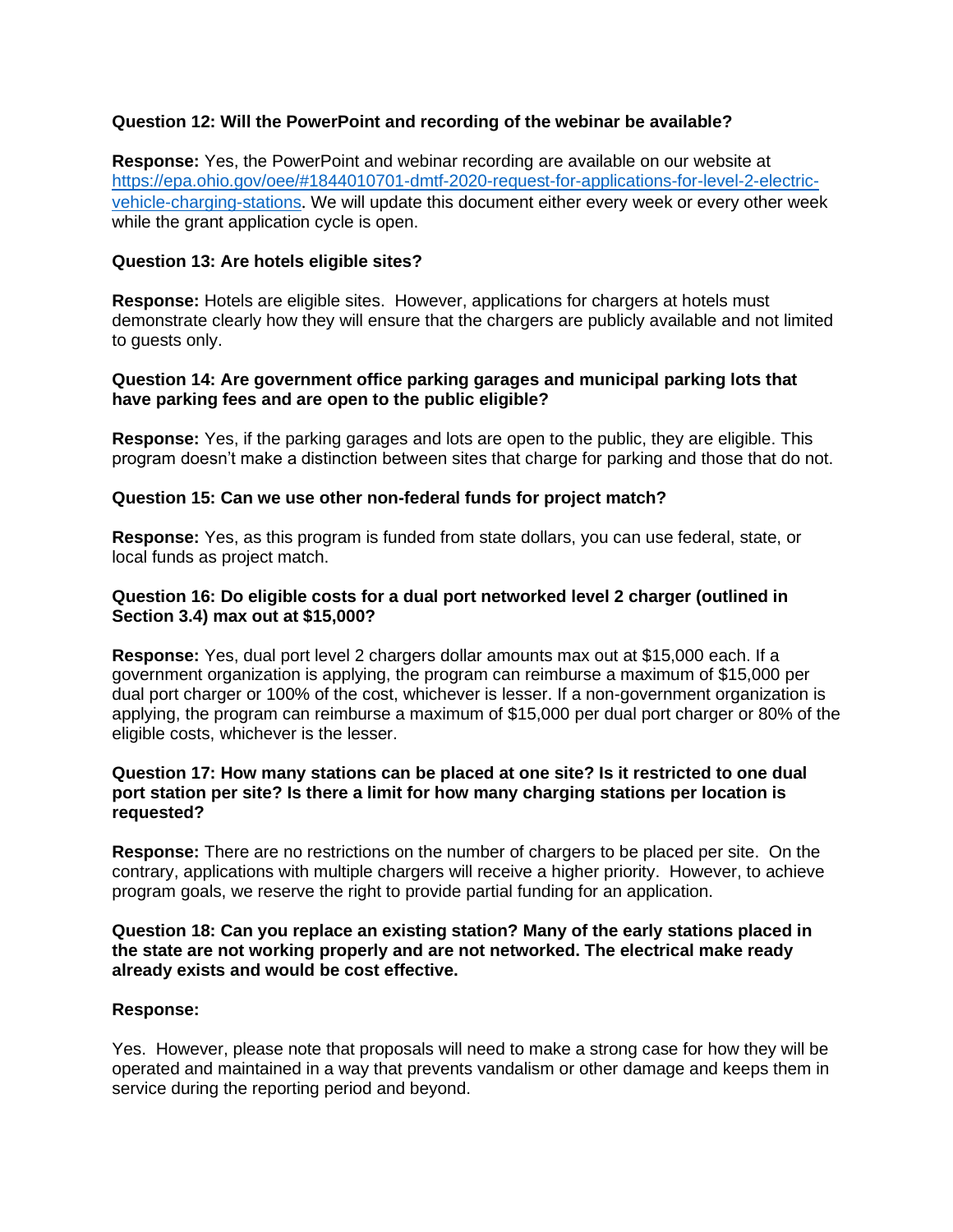# **Question 12: Will the PowerPoint and recording of the webinar be available?**

**Response:** Yes, the PowerPoint and webinar recording are available on our website at [https://epa.ohio.gov/oee/#1844010701-dmtf-2020-request-for-applications-for-level-2-electric](https://epa.ohio.gov/oee/#1844010701-dmtf-2020-request-for-applications-for-level-2-electric-vehicle-charging-stations)[vehicle-charging-stations](https://epa.ohio.gov/oee/#1844010701-dmtf-2020-request-for-applications-for-level-2-electric-vehicle-charging-stations). We will update this document either every week or every other week while the grant application cycle is open.

## **Question 13: Are hotels eligible sites?**

**Response:** Hotels are eligible sites. However, applications for chargers at hotels must demonstrate clearly how they will ensure that the chargers are publicly available and not limited to guests only.

## **Question 14: Are government office parking garages and municipal parking lots that have parking fees and are open to the public eligible?**

**Response:** Yes, if the parking garages and lots are open to the public, they are eligible. This program doesn't make a distinction between sites that charge for parking and those that do not.

### **Question 15: Can we use other non-federal funds for project match?**

**Response:** Yes, as this program is funded from state dollars, you can use federal, state, or local funds as project match.

# **Question 16: Do eligible costs for a dual port networked level 2 charger (outlined in Section 3.4) max out at \$15,000?**

**Response:** Yes, dual port level 2 chargers dollar amounts max out at \$15,000 each. If a government organization is applying, the program can reimburse a maximum of \$15,000 per dual port charger or 100% of the cost, whichever is lesser. If a non-government organization is applying, the program can reimburse a maximum of \$15,000 per dual port charger or 80% of the eligible costs, whichever is the lesser.

### **Question 17: How many stations can be placed at one site? Is it restricted to one dual port station per site? Is there a limit for how many charging stations per location is requested?**

**Response:** There are no restrictions on the number of chargers to be placed per site. On the contrary, applications with multiple chargers will receive a higher priority. However, to achieve program goals, we reserve the right to provide partial funding for an application.

## **Question 18: Can you replace an existing station? Many of the early stations placed in the state are not working properly and are not networked. The electrical make ready already exists and would be cost effective.**

### **Response:**

Yes. However, please note that proposals will need to make a strong case for how they will be operated and maintained in a way that prevents vandalism or other damage and keeps them in service during the reporting period and beyond.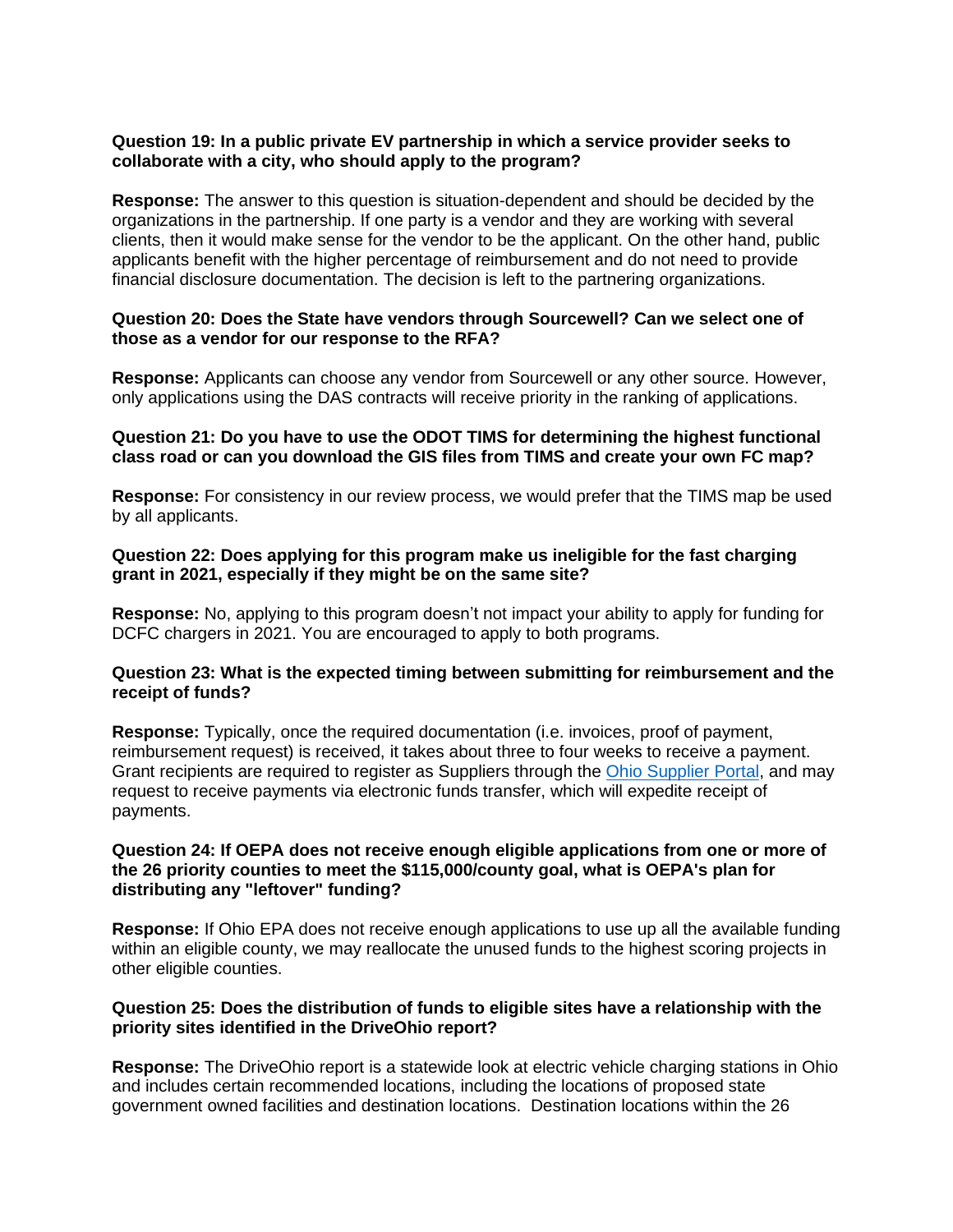# **Question 19: In a public private EV partnership in which a service provider seeks to collaborate with a city, who should apply to the program?**

**Response:** The answer to this question is situation-dependent and should be decided by the organizations in the partnership. If one party is a vendor and they are working with several clients, then it would make sense for the vendor to be the applicant. On the other hand, public applicants benefit with the higher percentage of reimbursement and do not need to provide financial disclosure documentation. The decision is left to the partnering organizations.

# **Question 20: Does the State have vendors through Sourcewell? Can we select one of those as a vendor for our response to the RFA?**

**Response:** Applicants can choose any vendor from Sourcewell or any other source. However, only applications using the DAS contracts will receive priority in the ranking of applications.

# **Question 21: Do you have to use the ODOT TIMS for determining the highest functional class road or can you download the GIS files from TIMS and create your own FC map?**

**Response:** For consistency in our review process, we would prefer that the TIMS map be used by all applicants.

# **Question 22: Does applying for this program make us ineligible for the fast charging grant in 2021, especially if they might be on the same site?**

**Response:** No, applying to this program doesn't not impact your ability to apply for funding for DCFC chargers in 2021. You are encouraged to apply to both programs.

# **Question 23: What is the expected timing between submitting for reimbursement and the receipt of funds?**

**Response:** Typically, once the required documentation (i.e. invoices, proof of payment, reimbursement request) is received, it takes about three to four weeks to receive a payment. Grant recipients are required to register as Suppliers through the [Ohio Supplier Portal,](https://supplier.ohio.gov/wps/portal/sp/suppliers/home-anon/!ut/p/z1/hY6xDoIwEIafhaGrvYgQdGscBBUMk9jFlARLTaFNWzC-vTXESYm33X_f_-UwxRWmPRsFZ06onkm_X2h8BZJl6TqB4nQoQyh36bLY5lEY5yt8_gfQ93lmCPg-nZAZQxx9gHnHHlMuVT29S_o6TDimprk1pjGLwfi4dU7bDQIEdtBaCp-rVqgFVyOCh7YIuqdWxjHpCf1L0yrrcPXVxrqr4B7J8UiC4AX6HT63/dz/d5/L2dBISEvZ0FBIS9nQSEh/) and may request to receive payments via electronic funds transfer, which will expedite receipt of payments.

## **Question 24: If OEPA does not receive enough eligible applications from one or more of the 26 priority counties to meet the \$115,000/county goal, what is OEPA's plan for distributing any "leftover" funding?**

**Response:** If Ohio EPA does not receive enough applications to use up all the available funding within an eligible county, we may reallocate the unused funds to the highest scoring projects in other eligible counties.

# **Question 25: Does the distribution of funds to eligible sites have a relationship with the priority sites identified in the DriveOhio report?**

**Response:** The DriveOhio report is a statewide look at electric vehicle charging stations in Ohio and includes certain recommended locations, including the locations of proposed state government owned facilities and destination locations. Destination locations within the 26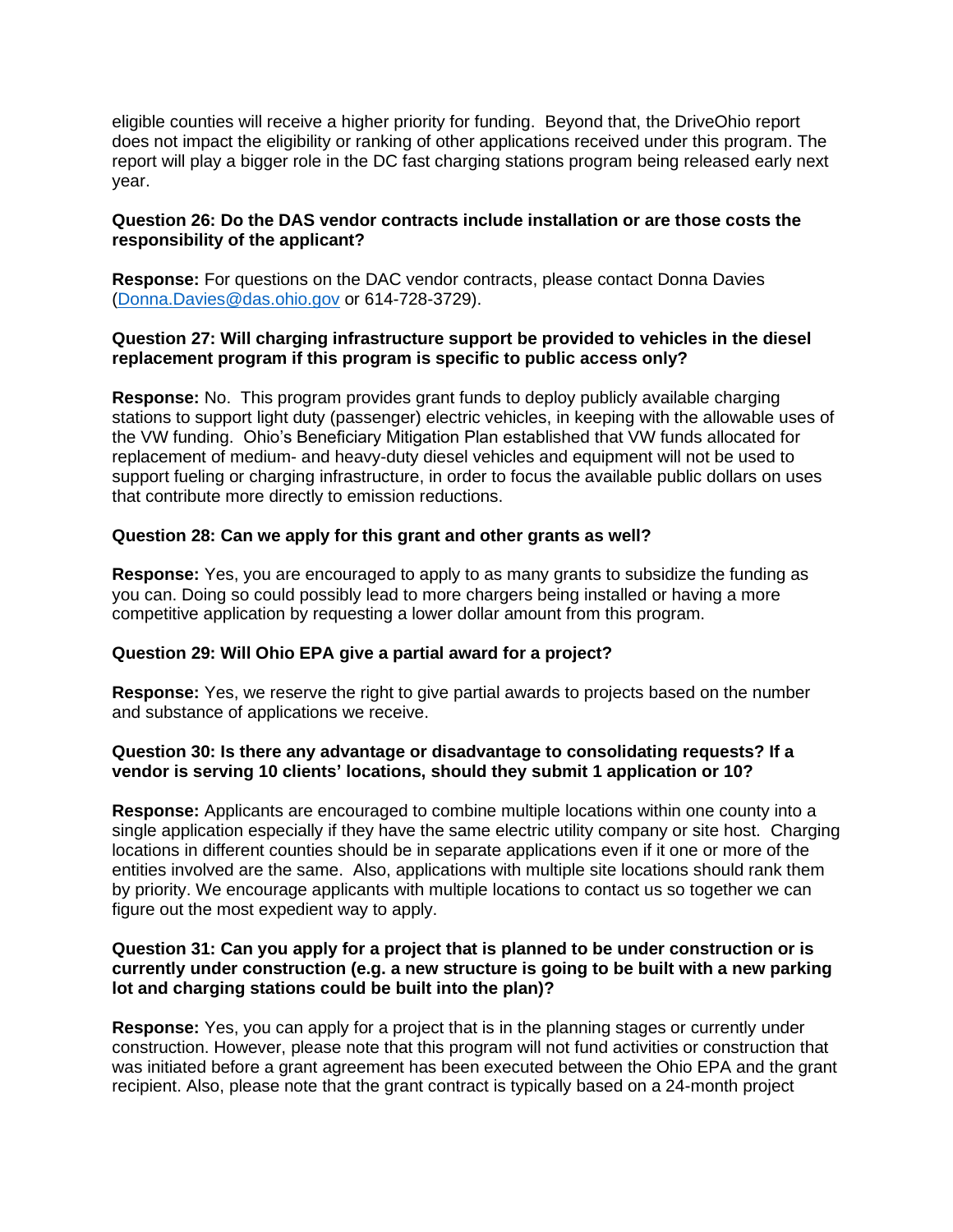eligible counties will receive a higher priority for funding. Beyond that, the DriveOhio report does not impact the eligibility or ranking of other applications received under this program. The report will play a bigger role in the DC fast charging stations program being released early next year.

# **Question 26: Do the DAS vendor contracts include installation or are those costs the responsibility of the applicant?**

**Response:** For questions on the DAC vendor contracts, please contact Donna Davies [\(Donna.Davies@das.ohio.gov](mailto:Donna.Davies@das.ohio.gov) or 614-728-3729).

## **Question 27: Will charging infrastructure support be provided to vehicles in the diesel replacement program if this program is specific to public access only?**

**Response:** No. This program provides grant funds to deploy publicly available charging stations to support light duty (passenger) electric vehicles, in keeping with the allowable uses of the VW funding. Ohio's Beneficiary Mitigation Plan established that VW funds allocated for replacement of medium- and heavy-duty diesel vehicles and equipment will not be used to support fueling or charging infrastructure, in order to focus the available public dollars on uses that contribute more directly to emission reductions.

# **Question 28: Can we apply for this grant and other grants as well?**

**Response:** Yes, you are encouraged to apply to as many grants to subsidize the funding as you can. Doing so could possibly lead to more chargers being installed or having a more competitive application by requesting a lower dollar amount from this program.

### **Question 29: Will Ohio EPA give a partial award for a project?**

**Response:** Yes, we reserve the right to give partial awards to projects based on the number and substance of applications we receive.

### **Question 30: Is there any advantage or disadvantage to consolidating requests? If a vendor is serving 10 clients' locations, should they submit 1 application or 10?**

**Response:** Applicants are encouraged to combine multiple locations within one county into a single application especially if they have the same electric utility company or site host. Charging locations in different counties should be in separate applications even if it one or more of the entities involved are the same. Also, applications with multiple site locations should rank them by priority. We encourage applicants with multiple locations to contact us so together we can figure out the most expedient way to apply.

# **Question 31: Can you apply for a project that is planned to be under construction or is currently under construction (e.g. a new structure is going to be built with a new parking lot and charging stations could be built into the plan)?**

**Response:** Yes, you can apply for a project that is in the planning stages or currently under construction. However, please note that this program will not fund activities or construction that was initiated before a grant agreement has been executed between the Ohio EPA and the grant recipient. Also, please note that the grant contract is typically based on a 24-month project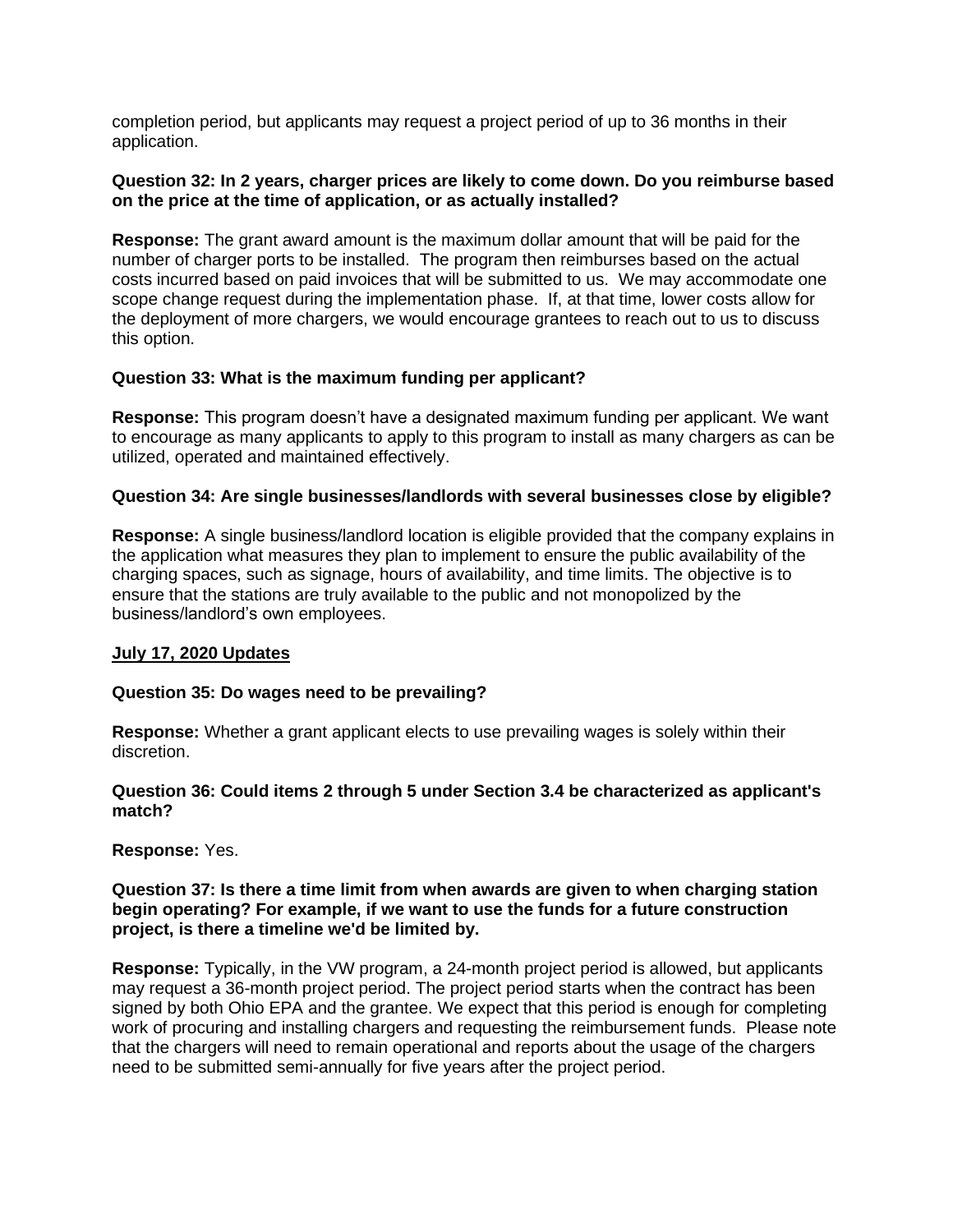completion period, but applicants may request a project period of up to 36 months in their application.

## **Question 32: In 2 years, charger prices are likely to come down. Do you reimburse based on the price at the time of application, or as actually installed?**

**Response:** The grant award amount is the maximum dollar amount that will be paid for the number of charger ports to be installed. The program then reimburses based on the actual costs incurred based on paid invoices that will be submitted to us. We may accommodate one scope change request during the implementation phase. If, at that time, lower costs allow for the deployment of more chargers, we would encourage grantees to reach out to us to discuss this option.

# **Question 33: What is the maximum funding per applicant?**

**Response:** This program doesn't have a designated maximum funding per applicant. We want to encourage as many applicants to apply to this program to install as many chargers as can be utilized, operated and maintained effectively.

# **Question 34: Are single businesses/landlords with several businesses close by eligible?**

**Response:** A single business/landlord location is eligible provided that the company explains in the application what measures they plan to implement to ensure the public availability of the charging spaces, such as signage, hours of availability, and time limits. The objective is to ensure that the stations are truly available to the public and not monopolized by the business/landlord's own employees.

### **July 17, 2020 Updates**

### **Question 35: Do wages need to be prevailing?**

**Response:** Whether a grant applicant elects to use prevailing wages is solely within their discretion.

### **Question 36: Could items 2 through 5 under Section 3.4 be characterized as applicant's match?**

**Response:** Yes.

### **Question 37: Is there a time limit from when awards are given to when charging station begin operating? For example, if we want to use the funds for a future construction project, is there a timeline we'd be limited by.**

**Response:** Typically, in the VW program, a 24-month project period is allowed, but applicants may request a 36-month project period. The project period starts when the contract has been signed by both Ohio EPA and the grantee. We expect that this period is enough for completing work of procuring and installing chargers and requesting the reimbursement funds. Please note that the chargers will need to remain operational and reports about the usage of the chargers need to be submitted semi-annually for five years after the project period.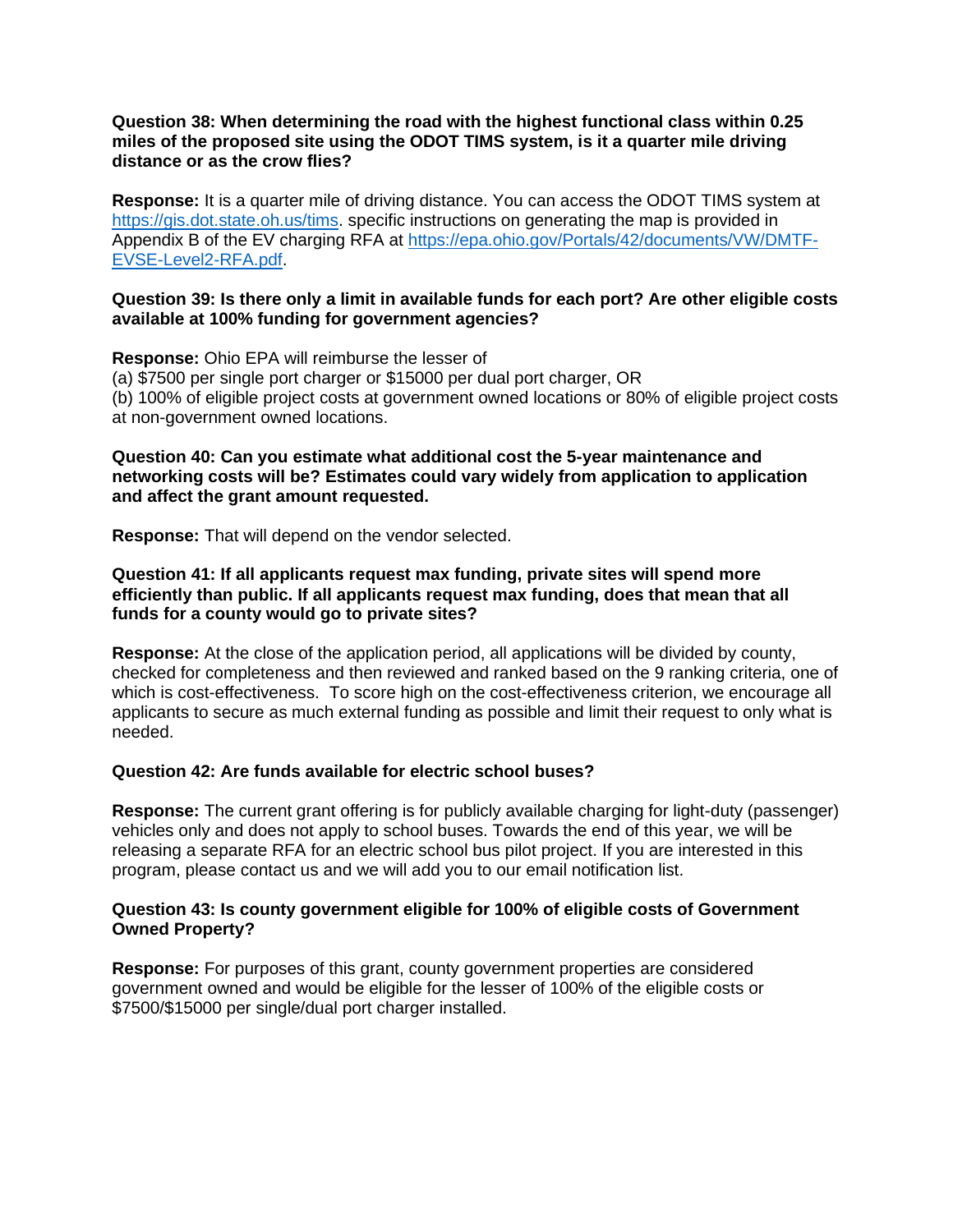## **Question 38: When determining the road with the highest functional class within 0.25 miles of the proposed site using the ODOT TIMS system, is it a quarter mile driving distance or as the crow flies?**

**Response:** It is a quarter mile of driving distance. You can access the ODOT TIMS system at [https://gis.dot.state.oh.us/tims.](https://gis.dot.state.oh.us/tims) specific instructions on generating the map is provided in Appendix B of the EV charging RFA at [https://epa.ohio.gov/Portals/42/documents/VW/DMTF-](https://epa.ohio.gov/Portals/42/documents/VW/DMTF-EVSE-Level2-RFA.pdf)[EVSE-Level2-RFA.pdf.](https://epa.ohio.gov/Portals/42/documents/VW/DMTF-EVSE-Level2-RFA.pdf)

## **Question 39: Is there only a limit in available funds for each port? Are other eligible costs available at 100% funding for government agencies?**

**Response:** Ohio EPA will reimburse the lesser of (a) \$7500 per single port charger or \$15000 per dual port charger, OR (b) 100% of eligible project costs at government owned locations or 80% of eligible project costs at non-government owned locations.

### **Question 40: Can you estimate what additional cost the 5-year maintenance and networking costs will be? Estimates could vary widely from application to application and affect the grant amount requested.**

**Response:** That will depend on the vendor selected.

# **Question 41: If all applicants request max funding, private sites will spend more efficiently than public. If all applicants request max funding, does that mean that all funds for a county would go to private sites?**

**Response:** At the close of the application period, all applications will be divided by county, checked for completeness and then reviewed and ranked based on the 9 ranking criteria, one of which is cost-effectiveness. To score high on the cost-effectiveness criterion, we encourage all applicants to secure as much external funding as possible and limit their request to only what is needed.

# **Question 42: Are funds available for electric school buses?**

**Response:** The current grant offering is for publicly available charging for light-duty (passenger) vehicles only and does not apply to school buses. Towards the end of this year, we will be releasing a separate RFA for an electric school bus pilot project. If you are interested in this program, please contact us and we will add you to our email notification list.

# **Question 43: Is county government eligible for 100% of eligible costs of Government Owned Property?**

**Response:** For purposes of this grant, county government properties are considered government owned and would be eligible for the lesser of 100% of the eligible costs or \$7500/\$15000 per single/dual port charger installed.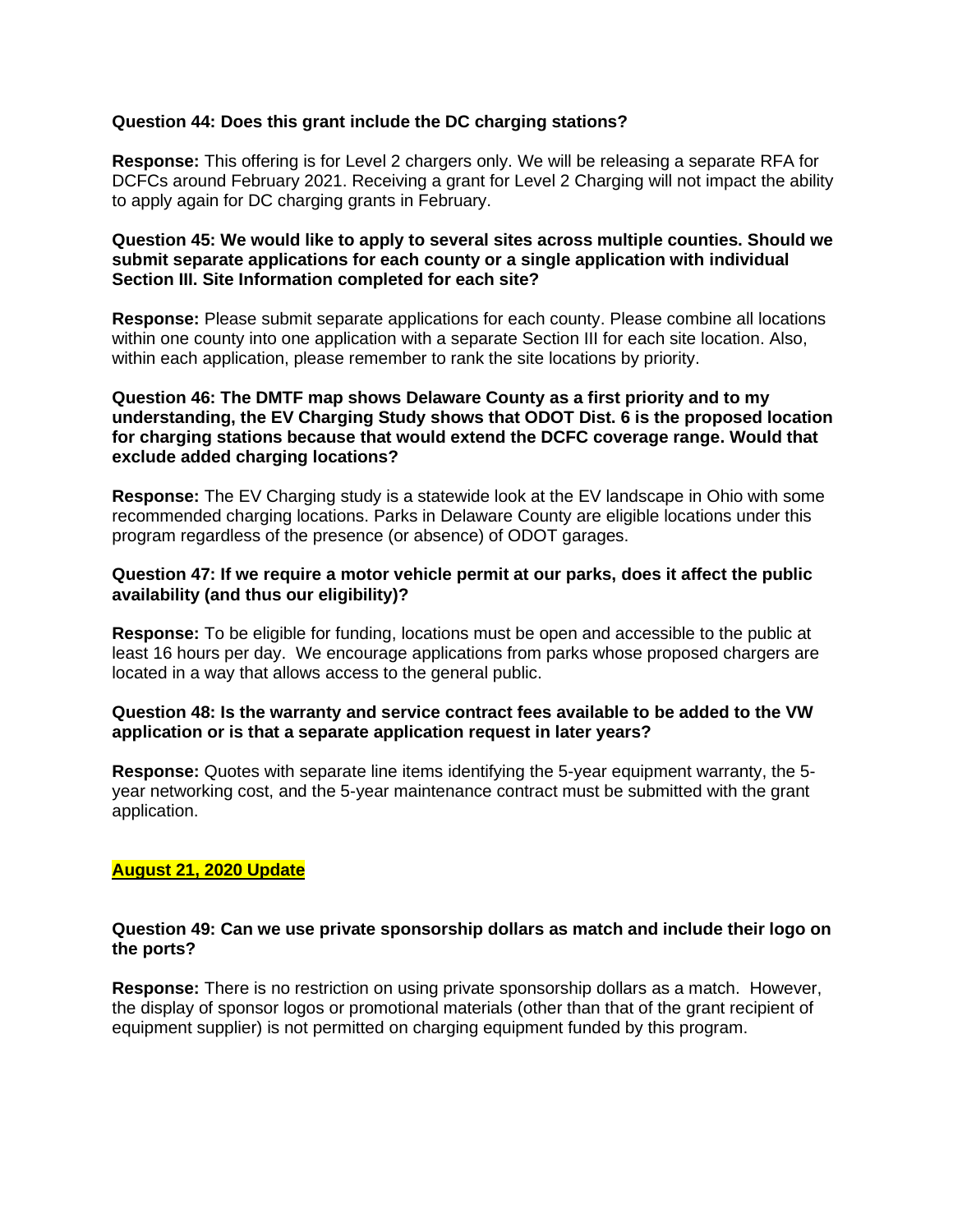# **Question 44: Does this grant include the DC charging stations?**

**Response:** This offering is for Level 2 chargers only. We will be releasing a separate RFA for DCFCs around February 2021. Receiving a grant for Level 2 Charging will not impact the ability to apply again for DC charging grants in February.

# **Question 45: We would like to apply to several sites across multiple counties. Should we submit separate applications for each county or a single application with individual Section III. Site Information completed for each site?**

**Response:** Please submit separate applications for each county. Please combine all locations within one county into one application with a separate Section III for each site location. Also, within each application, please remember to rank the site locations by priority.

# **Question 46: The DMTF map shows Delaware County as a first priority and to my understanding, the EV Charging Study shows that ODOT Dist. 6 is the proposed location for charging stations because that would extend the DCFC coverage range. Would that exclude added charging locations?**

**Response:** The EV Charging study is a statewide look at the EV landscape in Ohio with some recommended charging locations. Parks in Delaware County are eligible locations under this program regardless of the presence (or absence) of ODOT garages.

## **Question 47: If we require a motor vehicle permit at our parks, does it affect the public availability (and thus our eligibility)?**

**Response:** To be eligible for funding, locations must be open and accessible to the public at least 16 hours per day. We encourage applications from parks whose proposed chargers are located in a way that allows access to the general public.

# **Question 48: Is the warranty and service contract fees available to be added to the VW application or is that a separate application request in later years?**

**Response:** Quotes with separate line items identifying the 5-year equipment warranty, the 5 year networking cost, and the 5-year maintenance contract must be submitted with the grant application.

# **August 21, 2020 Update**

### **Question 49: Can we use private sponsorship dollars as match and include their logo on the ports?**

**Response:** There is no restriction on using private sponsorship dollars as a match. However, the display of sponsor logos or promotional materials (other than that of the grant recipient of equipment supplier) is not permitted on charging equipment funded by this program.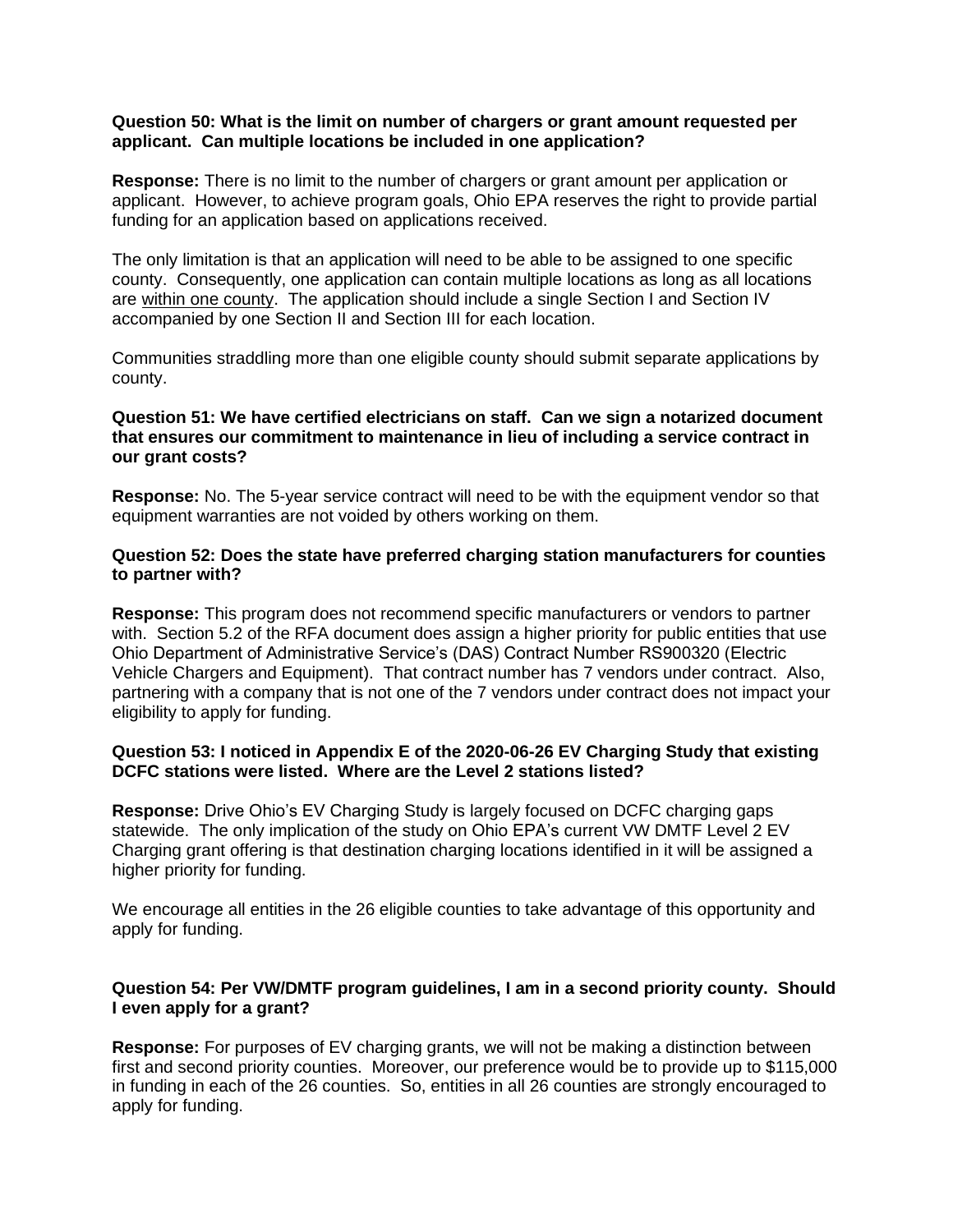### **Question 50: What is the limit on number of chargers or grant amount requested per applicant. Can multiple locations be included in one application?**

**Response:** There is no limit to the number of chargers or grant amount per application or applicant. However, to achieve program goals, Ohio EPA reserves the right to provide partial funding for an application based on applications received.

The only limitation is that an application will need to be able to be assigned to one specific county. Consequently, one application can contain multiple locations as long as all locations are within one county. The application should include a single Section I and Section IV accompanied by one Section II and Section III for each location.

Communities straddling more than one eligible county should submit separate applications by county.

## **Question 51: We have certified electricians on staff. Can we sign a notarized document that ensures our commitment to maintenance in lieu of including a service contract in our grant costs?**

**Response:** No. The 5-year service contract will need to be with the equipment vendor so that equipment warranties are not voided by others working on them.

## **Question 52: Does the state have preferred charging station manufacturers for counties to partner with?**

**Response:** This program does not recommend specific manufacturers or vendors to partner with. Section 5.2 of the RFA document does assign a higher priority for public entities that use Ohio Department of Administrative Service's (DAS) Contract Number RS900320 (Electric Vehicle Chargers and Equipment). That contract number has 7 vendors under contract. Also, partnering with a company that is not one of the 7 vendors under contract does not impact your eligibility to apply for funding.

# **Question 53: I noticed in Appendix E of the 2020-06-26 EV Charging Study that existing DCFC stations were listed. Where are the Level 2 stations listed?**

**Response:** Drive Ohio's EV Charging Study is largely focused on DCFC charging gaps statewide. The only implication of the study on Ohio EPA's current VW DMTF Level 2 EV Charging grant offering is that destination charging locations identified in it will be assigned a higher priority for funding.

We encourage all entities in the 26 eligible counties to take advantage of this opportunity and apply for funding.

# **Question 54: Per VW/DMTF program guidelines, I am in a second priority county. Should I even apply for a grant?**

**Response:** For purposes of EV charging grants, we will not be making a distinction between first and second priority counties. Moreover, our preference would be to provide up to \$115,000 in funding in each of the 26 counties. So, entities in all 26 counties are strongly encouraged to apply for funding.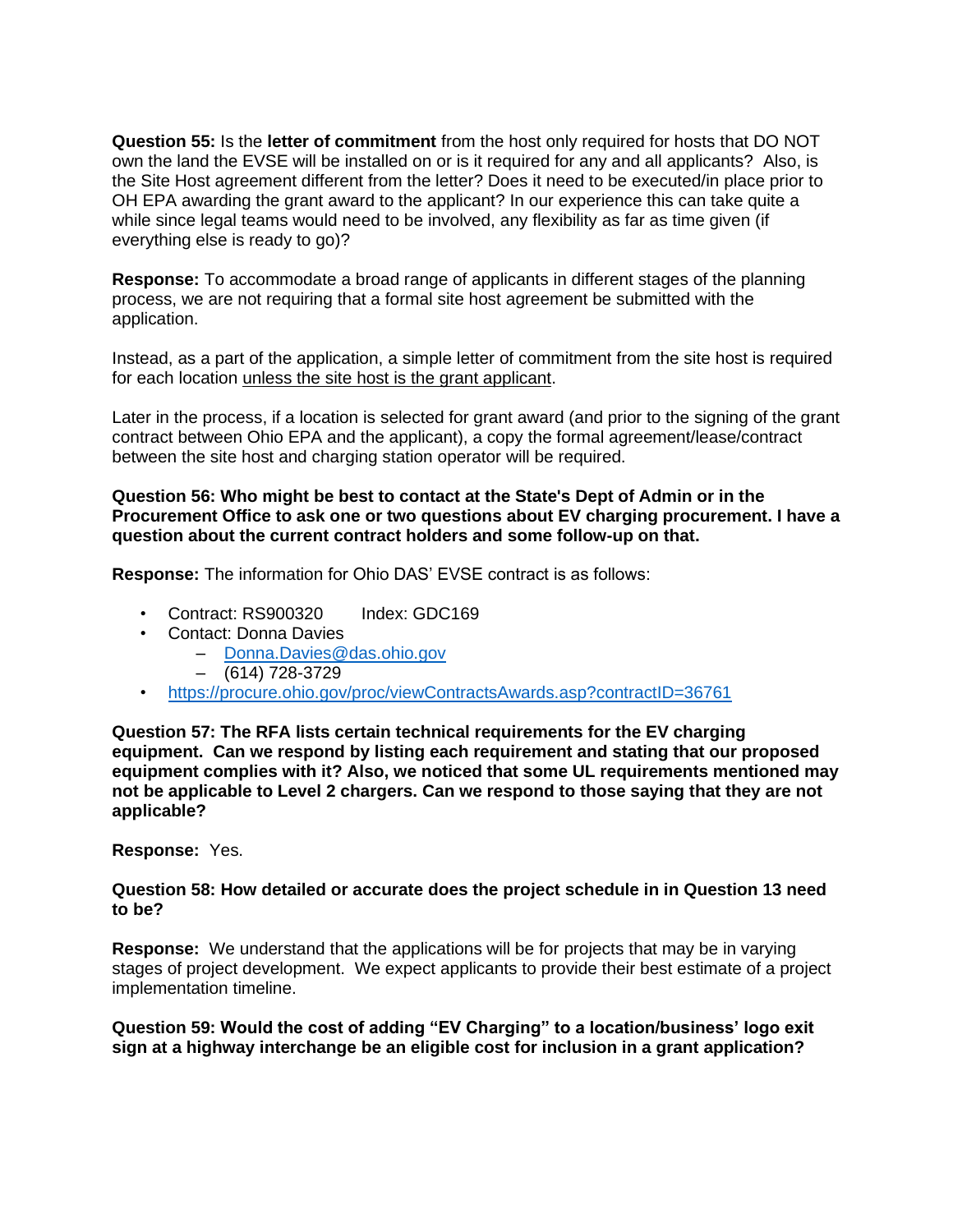**Question 55:** Is the **letter of commitment** from the host only required for hosts that DO NOT own the land the EVSE will be installed on or is it required for any and all applicants? Also, is the Site Host agreement different from the letter? Does it need to be executed/in place prior to OH EPA awarding the grant award to the applicant? In our experience this can take quite a while since legal teams would need to be involved, any flexibility as far as time given (if everything else is ready to go)?

**Response:** To accommodate a broad range of applicants in different stages of the planning process, we are not requiring that a formal site host agreement be submitted with the application.

Instead, as a part of the application, a simple letter of commitment from the site host is required for each location unless the site host is the grant applicant.

Later in the process, if a location is selected for grant award (and prior to the signing of the grant contract between Ohio EPA and the applicant), a copy the formal agreement/lease/contract between the site host and charging station operator will be required.

## **Question 56: Who might be best to contact at the State's Dept of Admin or in the Procurement Office to ask one or two questions about EV charging procurement. I have a question about the current contract holders and some follow-up on that.**

**Response:** The information for Ohio DAS' EVSE contract is as follows:

- Contract: RS900320 Index: GDC169
- Contact: Donna Davies
	- [Donna.Davies@das.ohio.gov](mailto:Donna.Davies@das.ohio.gov)
	- $-$  (614) 728-3729
- <https://procure.ohio.gov/proc/viewContractsAwards.asp?contractID=36761>

**Question 57: The RFA lists certain technical requirements for the EV charging equipment. Can we respond by listing each requirement and stating that our proposed equipment complies with it? Also, we noticed that some UL requirements mentioned may not be applicable to Level 2 chargers. Can we respond to those saying that they are not applicable?**

**Response:** Yes.

#### **Question 58: How detailed or accurate does the project schedule in in Question 13 need to be?**

**Response:** We understand that the applications will be for projects that may be in varying stages of project development. We expect applicants to provide their best estimate of a project implementation timeline.

**Question 59: Would the cost of adding "EV Charging" to a location/business' logo exit sign at a highway interchange be an eligible cost for inclusion in a grant application?**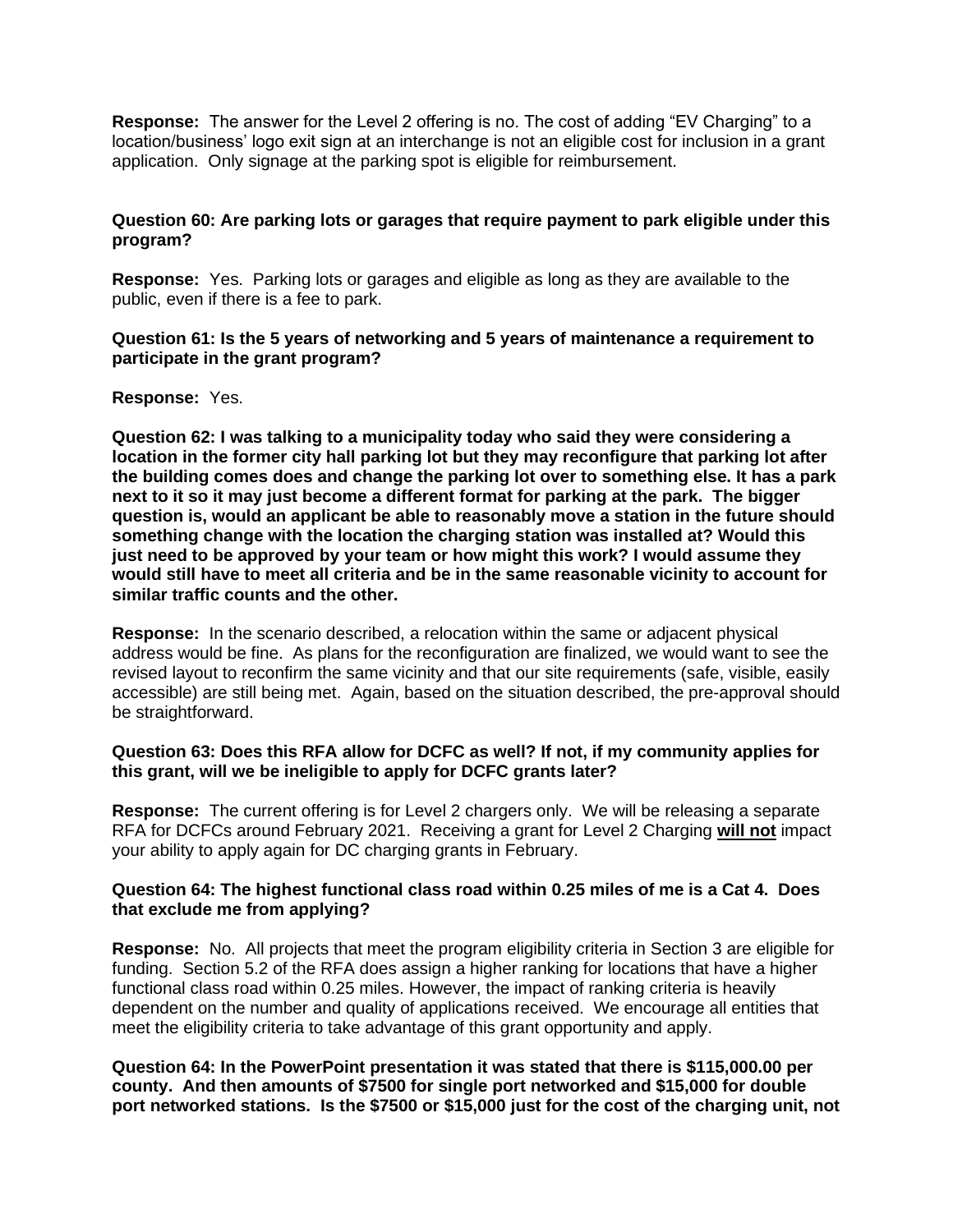**Response:** The answer for the Level 2 offering is no. The cost of adding "EV Charging" to a location/business' logo exit sign at an interchange is not an eligible cost for inclusion in a grant application. Only signage at the parking spot is eligible for reimbursement.

# **Question 60: Are parking lots or garages that require payment to park eligible under this program?**

**Response:** Yes. Parking lots or garages and eligible as long as they are available to the public, even if there is a fee to park.

## **Question 61: Is the 5 years of networking and 5 years of maintenance a requirement to participate in the grant program?**

### **Response:** Yes.

**Question 62: I was talking to a municipality today who said they were considering a location in the former city hall parking lot but they may reconfigure that parking lot after the building comes does and change the parking lot over to something else. It has a park next to it so it may just become a different format for parking at the park. The bigger question is, would an applicant be able to reasonably move a station in the future should something change with the location the charging station was installed at? Would this just need to be approved by your team or how might this work? I would assume they would still have to meet all criteria and be in the same reasonable vicinity to account for similar traffic counts and the other.**

**Response:** In the scenario described, a relocation within the same or adjacent physical address would be fine. As plans for the reconfiguration are finalized, we would want to see the revised layout to reconfirm the same vicinity and that our site requirements (safe, visible, easily accessible) are still being met. Again, based on the situation described, the pre-approval should be straightforward.

### **Question 63: Does this RFA allow for DCFC as well? If not, if my community applies for this grant, will we be ineligible to apply for DCFC grants later?**

**Response:** The current offering is for Level 2 chargers only. We will be releasing a separate RFA for DCFCs around February 2021. Receiving a grant for Level 2 Charging **will not** impact your ability to apply again for DC charging grants in February.

### **Question 64: The highest functional class road within 0.25 miles of me is a Cat 4. Does that exclude me from applying?**

**Response:** No. All projects that meet the program eligibility criteria in Section 3 are eligible for funding. Section 5.2 of the RFA does assign a higher ranking for locations that have a higher functional class road within 0.25 miles. However, the impact of ranking criteria is heavily dependent on the number and quality of applications received. We encourage all entities that meet the eligibility criteria to take advantage of this grant opportunity and apply.

**Question 64: In the PowerPoint presentation it was stated that there is \$115,000.00 per county. And then amounts of \$7500 for single port networked and \$15,000 for double port networked stations. Is the \$7500 or \$15,000 just for the cost of the charging unit, not**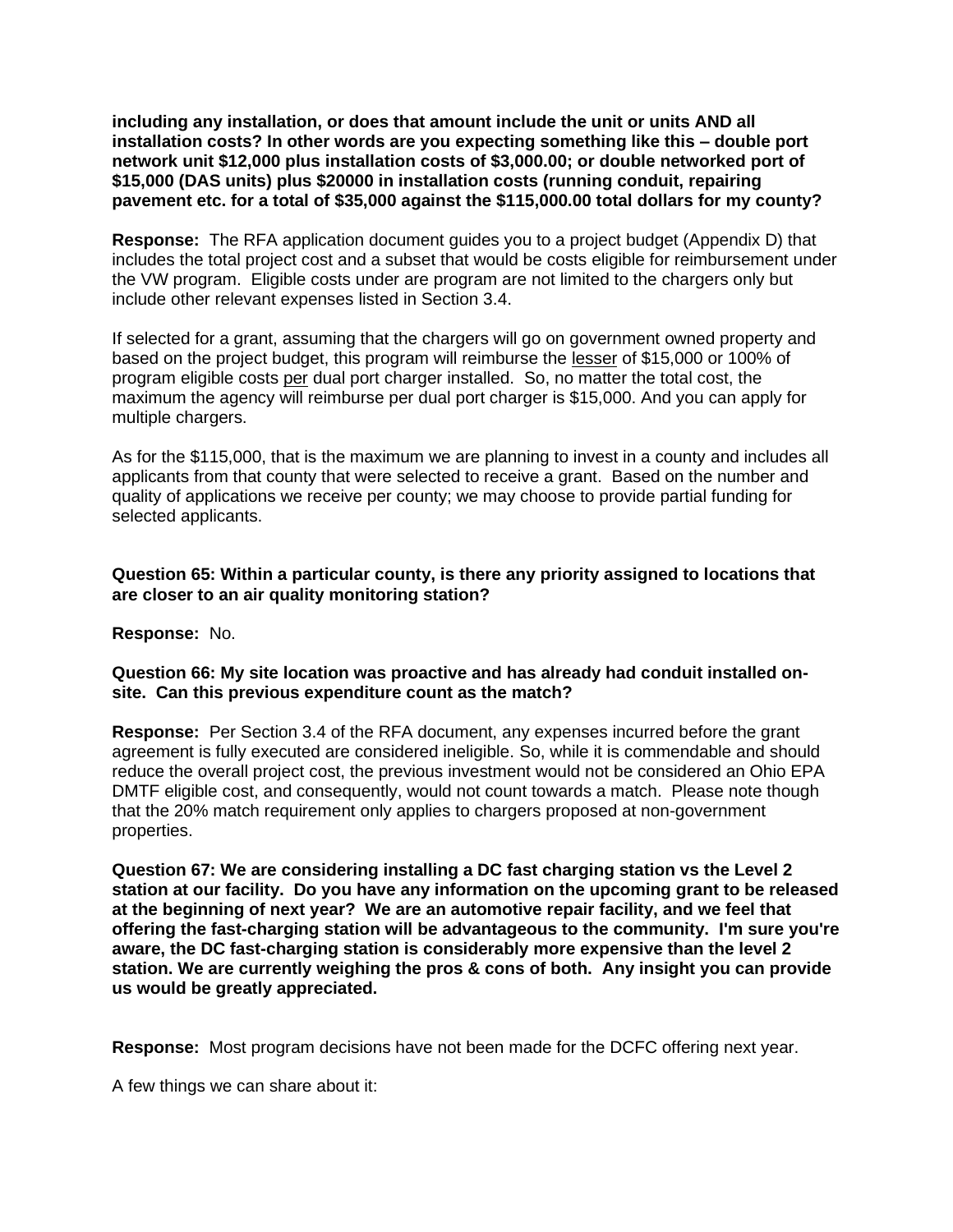**including any installation, or does that amount include the unit or units AND all installation costs? In other words are you expecting something like this – double port network unit \$12,000 plus installation costs of \$3,000.00; or double networked port of \$15,000 (DAS units) plus \$20000 in installation costs (running conduit, repairing pavement etc. for a total of \$35,000 against the \$115,000.00 total dollars for my county?**

**Response:** The RFA application document guides you to a project budget (Appendix D) that includes the total project cost and a subset that would be costs eligible for reimbursement under the VW program. Eligible costs under are program are not limited to the chargers only but include other relevant expenses listed in Section 3.4.

If selected for a grant, assuming that the chargers will go on government owned property and based on the project budget, this program will reimburse the lesser of \$15,000 or 100% of program eligible costs per dual port charger installed. So, no matter the total cost, the maximum the agency will reimburse per dual port charger is \$15,000. And you can apply for multiple chargers.

As for the \$115,000, that is the maximum we are planning to invest in a county and includes all applicants from that county that were selected to receive a grant. Based on the number and quality of applications we receive per county; we may choose to provide partial funding for selected applicants.

# **Question 65: Within a particular county, is there any priority assigned to locations that are closer to an air quality monitoring station?**

**Response:** No.

# **Question 66: My site location was proactive and has already had conduit installed onsite. Can this previous expenditure count as the match?**

**Response:** Per Section 3.4 of the RFA document, any expenses incurred before the grant agreement is fully executed are considered ineligible. So, while it is commendable and should reduce the overall project cost, the previous investment would not be considered an Ohio EPA DMTF eligible cost, and consequently, would not count towards a match. Please note though that the 20% match requirement only applies to chargers proposed at non-government properties.

**Question 67: We are considering installing a DC fast charging station vs the Level 2 station at our facility. Do you have any information on the upcoming grant to be released at the beginning of next year? We are an automotive repair facility, and we feel that offering the fast-charging station will be advantageous to the community. I'm sure you're aware, the DC fast-charging station is considerably more expensive than the level 2 station. We are currently weighing the pros & cons of both. Any insight you can provide us would be greatly appreciated.**

**Response:** Most program decisions have not been made for the DCFC offering next year.

A few things we can share about it: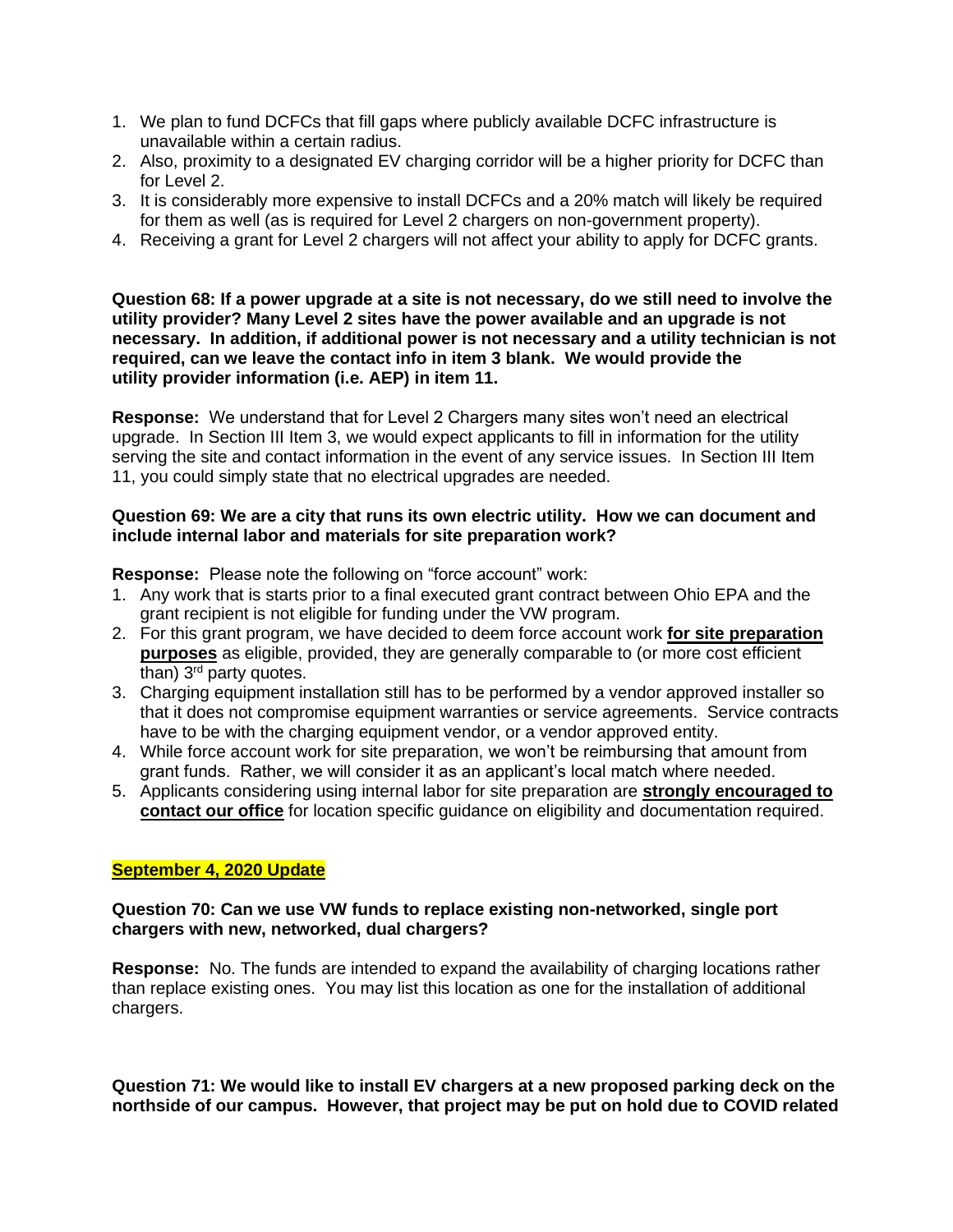- 1. We plan to fund DCFCs that fill gaps where publicly available DCFC infrastructure is unavailable within a certain radius.
- 2. Also, proximity to a designated EV charging corridor will be a higher priority for DCFC than for Level 2.
- 3. It is considerably more expensive to install DCFCs and a 20% match will likely be required for them as well (as is required for Level 2 chargers on non-government property).
- 4. Receiving a grant for Level 2 chargers will not affect your ability to apply for DCFC grants.

**Question 68: If a power upgrade at a site is not necessary, do we still need to involve the utility provider? Many Level 2 sites have the power available and an upgrade is not necessary. In addition, if additional power is not necessary and a utility technician is not required, can we leave the contact info in item 3 blank. We would provide the utility provider information (i.e. AEP) in item 11.** 

**Response:** We understand that for Level 2 Chargers many sites won't need an electrical upgrade. In Section III Item 3, we would expect applicants to fill in information for the utility serving the site and contact information in the event of any service issues. In Section III Item 11, you could simply state that no electrical upgrades are needed.

# **Question 69: We are a city that runs its own electric utility. How we can document and include internal labor and materials for site preparation work?**

**Response:** Please note the following on "force account" work:

- 1. Any work that is starts prior to a final executed grant contract between Ohio EPA and the grant recipient is not eligible for funding under the VW program.
- 2. For this grant program, we have decided to deem force account work **for site preparation purposes** as eligible, provided, they are generally comparable to (or more cost efficient than)  $3<sup>rd</sup>$  party quotes.
- 3. Charging equipment installation still has to be performed by a vendor approved installer so that it does not compromise equipment warranties or service agreements. Service contracts have to be with the charging equipment vendor, or a vendor approved entity.
- 4. While force account work for site preparation, we won't be reimbursing that amount from grant funds. Rather, we will consider it as an applicant's local match where needed.
- 5. Applicants considering using internal labor for site preparation are **strongly encouraged to contact our office** for location specific guidance on eligibility and documentation required.

# **September 4, 2020 Update**

# **Question 70: Can we use VW funds to replace existing non-networked, single port chargers with new, networked, dual chargers?**

**Response:** No. The funds are intended to expand the availability of charging locations rather than replace existing ones. You may list this location as one for the installation of additional chargers.

**Question 71: We would like to install EV chargers at a new proposed parking deck on the northside of our campus. However, that project may be put on hold due to COVID related**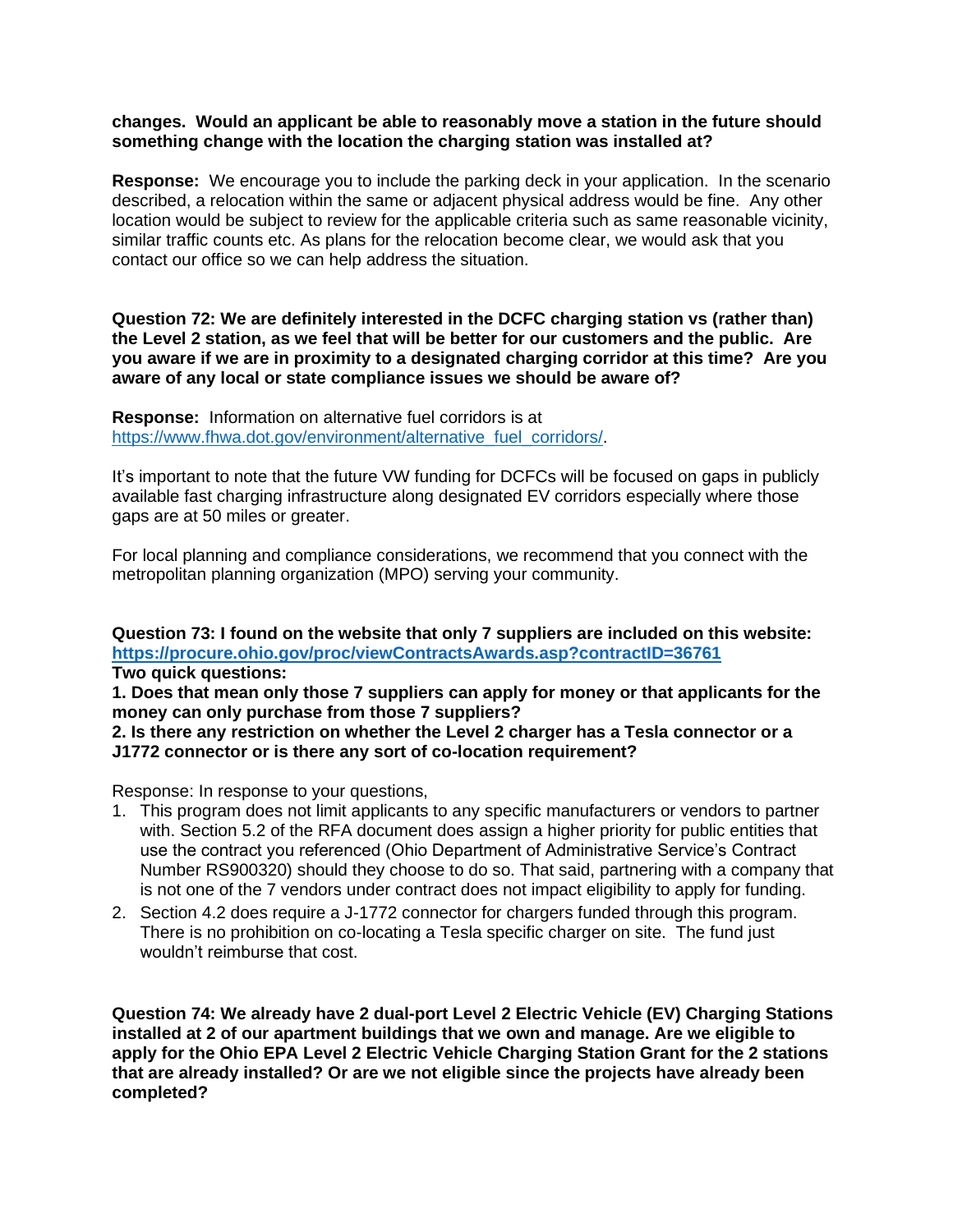## **changes. Would an applicant be able to reasonably move a station in the future should something change with the location the charging station was installed at?**

**Response:** We encourage you to include the parking deck in your application. In the scenario described, a relocation within the same or adjacent physical address would be fine. Any other location would be subject to review for the applicable criteria such as same reasonable vicinity, similar traffic counts etc. As plans for the relocation become clear, we would ask that you contact our office so we can help address the situation.

**Question 72: We are definitely interested in the DCFC charging station vs (rather than) the Level 2 station, as we feel that will be better for our customers and the public. Are you aware if we are in proximity to a designated charging corridor at this time? Are you aware of any local or state compliance issues we should be aware of?**

**Response:** Information on alternative fuel corridors is at [https://www.fhwa.dot.gov/environment/alternative\\_fuel\\_corridors/.](https://www.fhwa.dot.gov/environment/alternative_fuel_corridors/)

It's important to note that the future VW funding for DCFCs will be focused on gaps in publicly available fast charging infrastructure along designated EV corridors especially where those gaps are at 50 miles or greater.

For local planning and compliance considerations, we recommend that you connect with the metropolitan planning organization (MPO) serving your community.

**Question 73: I found on the website that only 7 suppliers are included on this website: <https://procure.ohio.gov/proc/viewContractsAwards.asp?contractID=36761> Two quick questions:**

**1. Does that mean only those 7 suppliers can apply for money or that applicants for the money can only purchase from those 7 suppliers?**

**2. Is there any restriction on whether the Level 2 charger has a Tesla connector or a J1772 connector or is there any sort of co-location requirement?**

Response: In response to your questions,

- 1. This program does not limit applicants to any specific manufacturers or vendors to partner with. Section 5.2 of the RFA document does assign a higher priority for public entities that use the contract you referenced (Ohio Department of Administrative Service's Contract Number RS900320) should they choose to do so. That said, partnering with a company that is not one of the 7 vendors under contract does not impact eligibility to apply for funding.
- 2. Section 4.2 does require a J-1772 connector for chargers funded through this program. There is no prohibition on co-locating a Tesla specific charger on site. The fund just wouldn't reimburse that cost.

**Question 74: We already have 2 dual-port Level 2 Electric Vehicle (EV) Charging Stations installed at 2 of our apartment buildings that we own and manage. Are we eligible to apply for the Ohio EPA Level 2 Electric Vehicle Charging Station Grant for the 2 stations that are already installed? Or are we not eligible since the projects have already been completed?**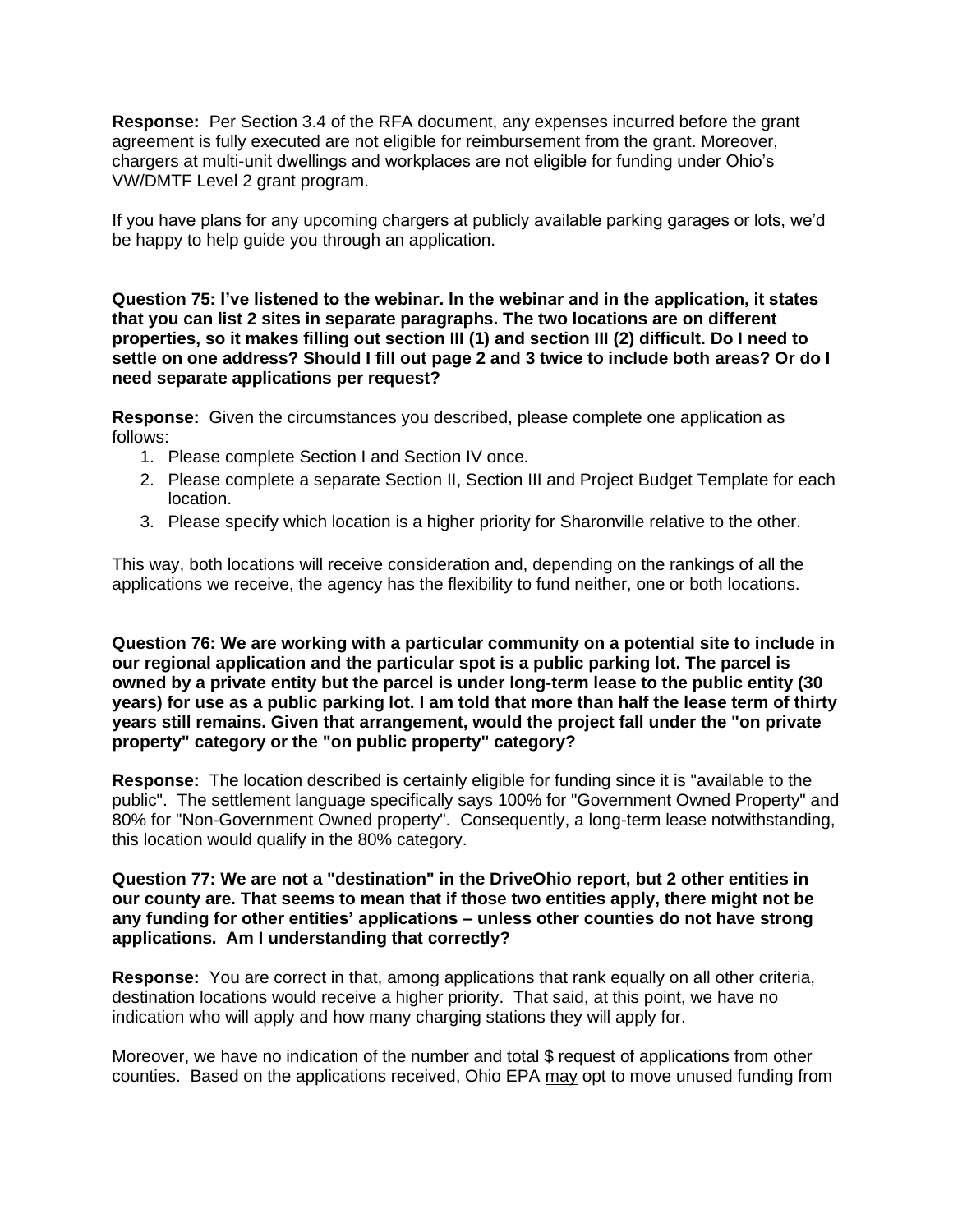**Response:** Per Section 3.4 of the RFA document, any expenses incurred before the grant agreement is fully executed are not eligible for reimbursement from the grant. Moreover, chargers at multi-unit dwellings and workplaces are not eligible for funding under Ohio's VW/DMTF Level 2 grant program.

If you have plans for any upcoming chargers at publicly available parking garages or lots, we'd be happy to help guide you through an application.

**Question 75: I've listened to the webinar. In the webinar and in the application, it states that you can list 2 sites in separate paragraphs. The two locations are on different properties, so it makes filling out section III (1) and section III (2) difficult. Do I need to settle on one address? Should I fill out page 2 and 3 twice to include both areas? Or do I need separate applications per request?**

**Response:** Given the circumstances you described, please complete one application as follows:

- 1. Please complete Section I and Section IV once.
- 2. Please complete a separate Section II, Section III and Project Budget Template for each location.
- 3. Please specify which location is a higher priority for Sharonville relative to the other.

This way, both locations will receive consideration and, depending on the rankings of all the applications we receive, the agency has the flexibility to fund neither, one or both locations.

**Question 76: We are working with a particular community on a potential site to include in our regional application and the particular spot is a public parking lot. The parcel is owned by a private entity but the parcel is under long-term lease to the public entity (30 years) for use as a public parking lot. I am told that more than half the lease term of thirty years still remains. Given that arrangement, would the project fall under the "on private property" category or the "on public property" category?**

**Response:** The location described is certainly eligible for funding since it is "available to the public". The settlement language specifically says 100% for "Government Owned Property" and 80% for "Non-Government Owned property". Consequently, a long-term lease notwithstanding, this location would qualify in the 80% category.

**Question 77: We are not a "destination" in the DriveOhio report, but 2 other entities in our county are. That seems to mean that if those two entities apply, there might not be any funding for other entities' applications – unless other counties do not have strong applications. Am I understanding that correctly?**

**Response:** You are correct in that, among applications that rank equally on all other criteria, destination locations would receive a higher priority. That said, at this point, we have no indication who will apply and how many charging stations they will apply for.

Moreover, we have no indication of the number and total \$ request of applications from other counties. Based on the applications received, Ohio EPA may opt to move unused funding from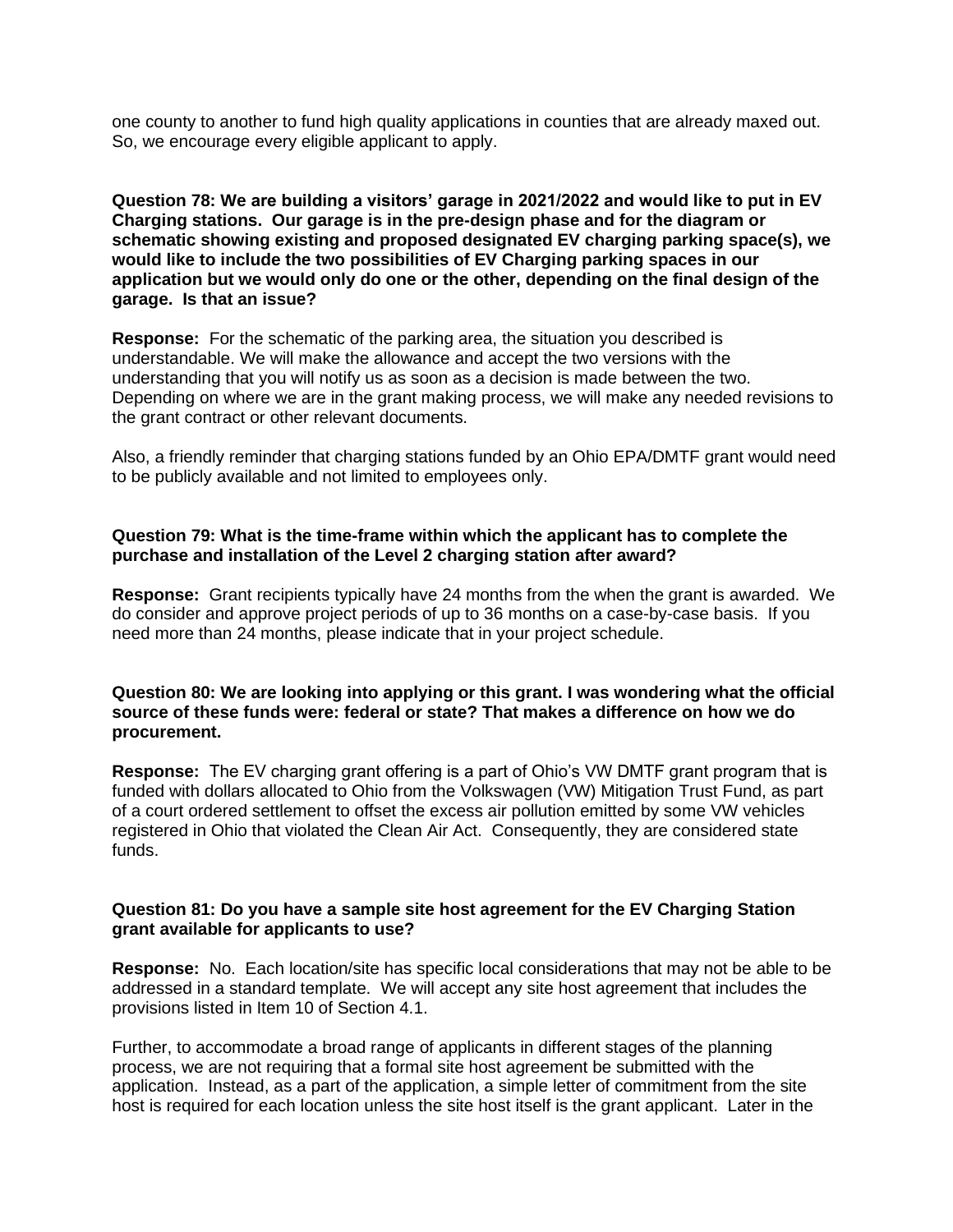one county to another to fund high quality applications in counties that are already maxed out. So, we encourage every eligible applicant to apply.

**Question 78: We are building a visitors' garage in 2021/2022 and would like to put in EV Charging stations. Our garage is in the pre-design phase and for the diagram or schematic showing existing and proposed designated EV charging parking space(s), we would like to include the two possibilities of EV Charging parking spaces in our application but we would only do one or the other, depending on the final design of the garage. Is that an issue?**

**Response:** For the schematic of the parking area, the situation you described is understandable. We will make the allowance and accept the two versions with the understanding that you will notify us as soon as a decision is made between the two. Depending on where we are in the grant making process, we will make any needed revisions to the grant contract or other relevant documents.

Also, a friendly reminder that charging stations funded by an Ohio EPA/DMTF grant would need to be publicly available and not limited to employees only.

## **Question 79: What is the time-frame within which the applicant has to complete the purchase and installation of the Level 2 charging station after award?**

**Response:** Grant recipients typically have 24 months from the when the grant is awarded. We do consider and approve project periods of up to 36 months on a case-by-case basis. If you need more than 24 months, please indicate that in your project schedule.

**Question 80: We are looking into applying or this grant. I was wondering what the official source of these funds were: federal or state? That makes a difference on how we do procurement.**

**Response:** The EV charging grant offering is a part of Ohio's VW DMTF grant program that is funded with dollars allocated to Ohio from the Volkswagen (VW) Mitigation Trust Fund, as part of a court ordered settlement to offset the excess air pollution emitted by some VW vehicles registered in Ohio that violated the Clean Air Act. Consequently, they are considered state funds.

# **Question 81: Do you have a sample site host agreement for the EV Charging Station grant available for applicants to use?**

**Response:** No. Each location/site has specific local considerations that may not be able to be addressed in a standard template. We will accept any site host agreement that includes the provisions listed in Item 10 of Section 4.1.

Further, to accommodate a broad range of applicants in different stages of the planning process, we are not requiring that a formal site host agreement be submitted with the application. Instead, as a part of the application, a simple letter of commitment from the site host is required for each location unless the site host itself is the grant applicant. Later in the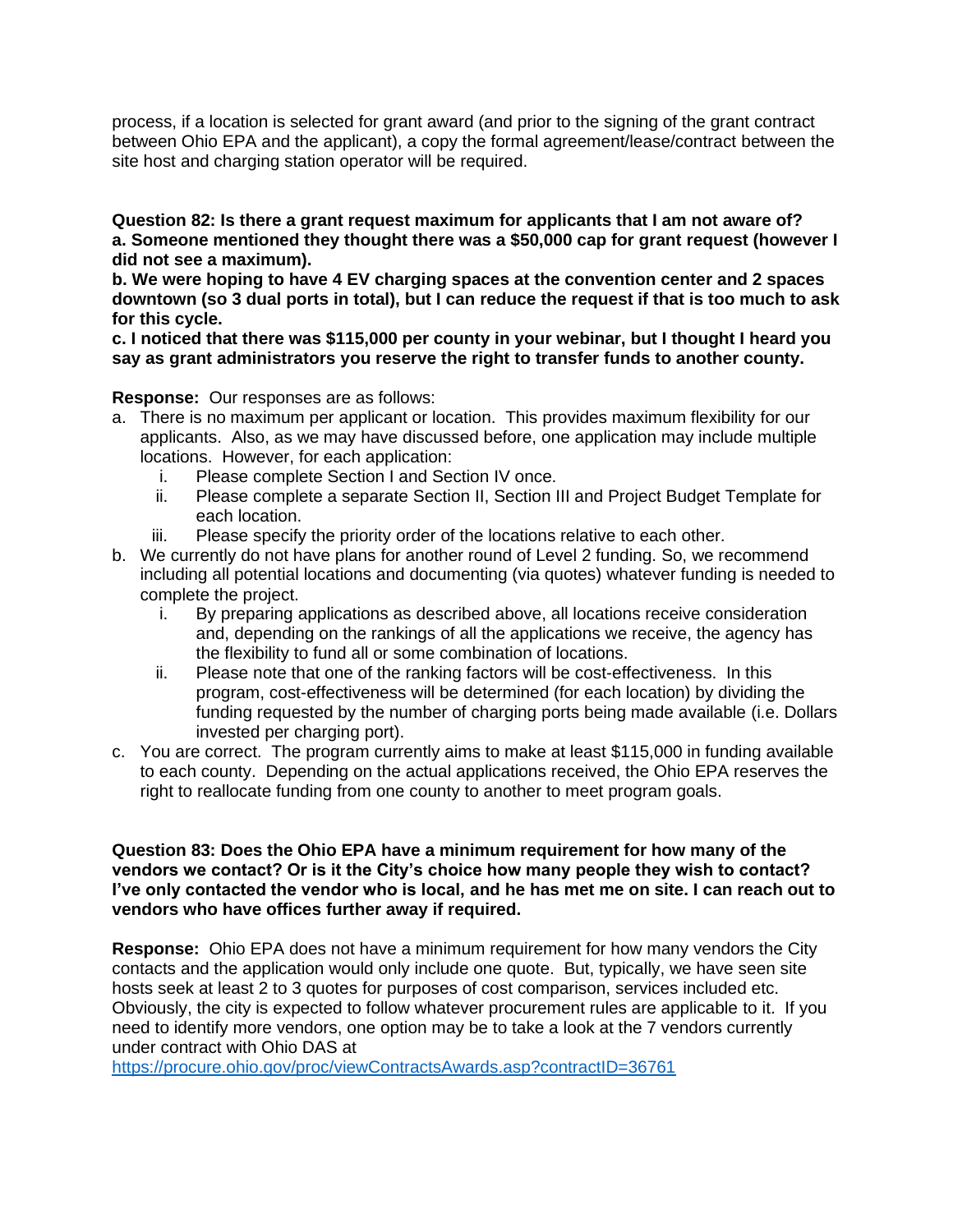process, if a location is selected for grant award (and prior to the signing of the grant contract between Ohio EPA and the applicant), a copy the formal agreement/lease/contract between the site host and charging station operator will be required.

**Question 82: Is there a grant request maximum for applicants that I am not aware of? a. Someone mentioned they thought there was a \$50,000 cap for grant request (however I did not see a maximum).** 

**b. We were hoping to have 4 EV charging spaces at the convention center and 2 spaces downtown (so 3 dual ports in total), but I can reduce the request if that is too much to ask for this cycle.**

**c. I noticed that there was \$115,000 per county in your webinar, but I thought I heard you say as grant administrators you reserve the right to transfer funds to another county.**

**Response:** Our responses are as follows:

- a. There is no maximum per applicant or location. This provides maximum flexibility for our applicants. Also, as we may have discussed before, one application may include multiple locations. However, for each application:
	- i. Please complete Section I and Section IV once.
	- ii. Please complete a separate Section II, Section III and Project Budget Template for each location.
	- iii. Please specify the priority order of the locations relative to each other.
- b. We currently do not have plans for another round of Level 2 funding. So, we recommend including all potential locations and documenting (via quotes) whatever funding is needed to complete the project.
	- i. By preparing applications as described above, all locations receive consideration and, depending on the rankings of all the applications we receive, the agency has the flexibility to fund all or some combination of locations.
	- ii. Please note that one of the ranking factors will be cost-effectiveness. In this program, cost-effectiveness will be determined (for each location) by dividing the funding requested by the number of charging ports being made available (i.e. Dollars invested per charging port).
- c. You are correct. The program currently aims to make at least \$115,000 in funding available to each county. Depending on the actual applications received, the Ohio EPA reserves the right to reallocate funding from one county to another to meet program goals.

## **Question 83: Does the Ohio EPA have a minimum requirement for how many of the vendors we contact? Or is it the City's choice how many people they wish to contact? I've only contacted the vendor who is local, and he has met me on site. I can reach out to vendors who have offices further away if required.**

**Response:** Ohio EPA does not have a minimum requirement for how many vendors the City contacts and the application would only include one quote. But, typically, we have seen site hosts seek at least 2 to 3 quotes for purposes of cost comparison, services included etc. Obviously, the city is expected to follow whatever procurement rules are applicable to it. If you need to identify more vendors, one option may be to take a look at the 7 vendors currently under contract with Ohio DAS at

<https://procure.ohio.gov/proc/viewContractsAwards.asp?contractID=36761>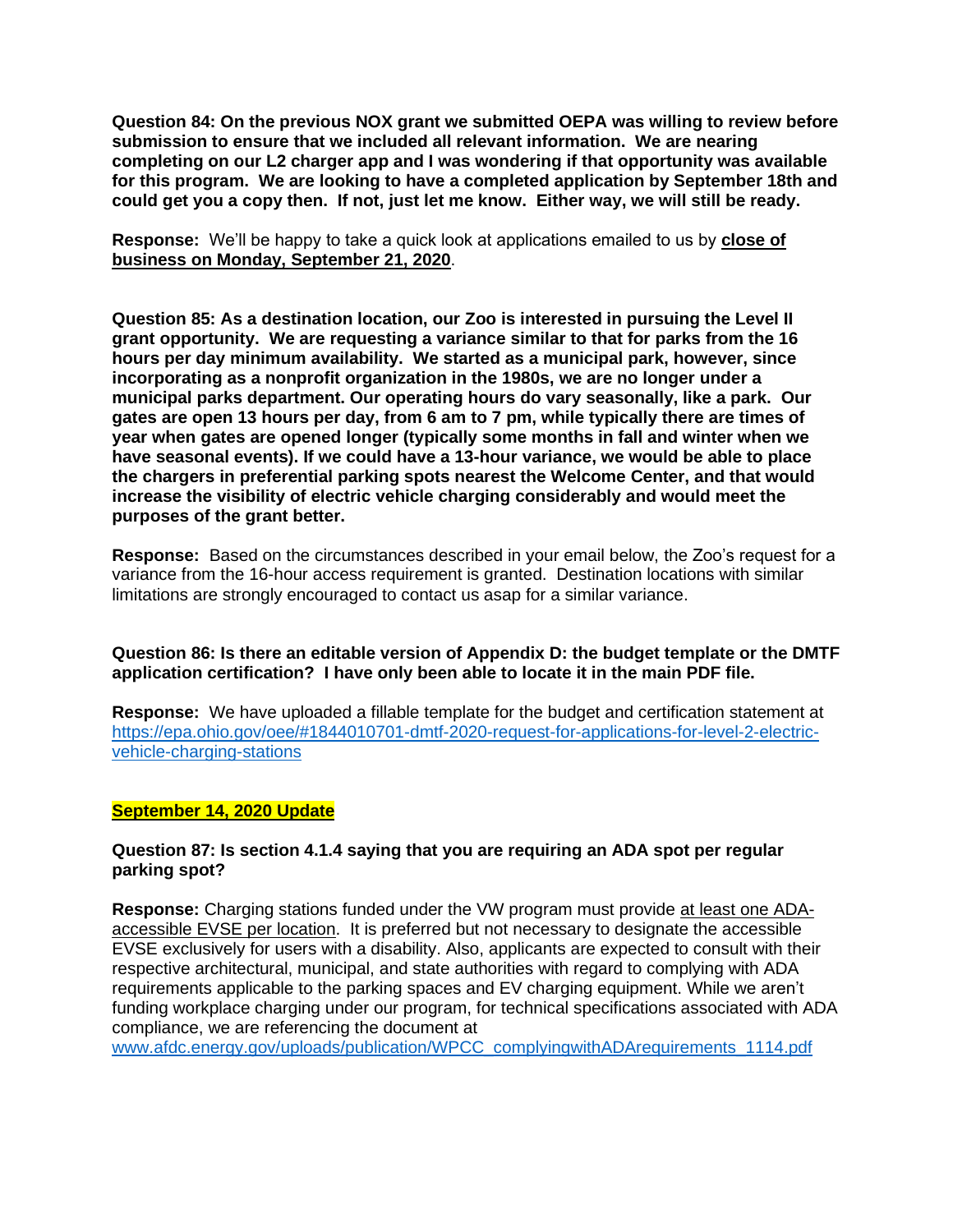**Question 84: On the previous NOX grant we submitted OEPA was willing to review before submission to ensure that we included all relevant information. We are nearing completing on our L2 charger app and I was wondering if that opportunity was available for this program. We are looking to have a completed application by September 18th and could get you a copy then. If not, just let me know. Either way, we will still be ready.** 

**Response:** We'll be happy to take a quick look at applications emailed to us by **close of business on Monday, September 21, 2020**.

**Question 85: As a destination location, our Zoo is interested in pursuing the Level II grant opportunity. We are requesting a variance similar to that for parks from the 16 hours per day minimum availability. We started as a municipal park, however, since incorporating as a nonprofit organization in the 1980s, we are no longer under a municipal parks department. Our operating hours do vary seasonally, like a park. Our gates are open 13 hours per day, from 6 am to 7 pm, while typically there are times of year when gates are opened longer (typically some months in fall and winter when we have seasonal events). If we could have a 13-hour variance, we would be able to place the chargers in preferential parking spots nearest the Welcome Center, and that would increase the visibility of electric vehicle charging considerably and would meet the purposes of the grant better.**

**Response:** Based on the circumstances described in your email below, the Zoo's request for a variance from the 16-hour access requirement is granted. Destination locations with similar limitations are strongly encouraged to contact us asap for a similar variance.

**Question 86: Is there an editable version of Appendix D: the budget template or the DMTF application certification? I have only been able to locate it in the main PDF file.**

**Response:** We have uploaded a fillable template for the budget and certification statement at [https://epa.ohio.gov/oee/#1844010701-dmtf-2020-request-for-applications-for-level-2-electric](https://epa.ohio.gov/oee/#1844010701-dmtf-2020-request-for-applications-for-level-2-electric-vehicle-charging-stations)[vehicle-charging-stations](https://epa.ohio.gov/oee/#1844010701-dmtf-2020-request-for-applications-for-level-2-electric-vehicle-charging-stations)

### **September 14, 2020 Update**

# **Question 87: Is section 4.1.4 saying that you are requiring an ADA spot per regular parking spot?**

**Response:** Charging stations funded under the VW program must provide at least one ADAaccessible EVSE per location. It is preferred but not necessary to designate the accessible EVSE exclusively for users with a disability. Also, applicants are expected to consult with their respective architectural, municipal, and state authorities with regard to complying with ADA requirements applicable to the parking spaces and EV charging equipment. While we aren't funding workplace charging under our program, for technical specifications associated with ADA compliance, we are referencing the document at

[www.afdc.energy.gov/uploads/publication/WPCC\\_complyingwithADArequirements\\_1114.pdf](http://www.afdc.energy.gov/uploads/publication/WPCC_complyingwithADArequirements_1114.pdf)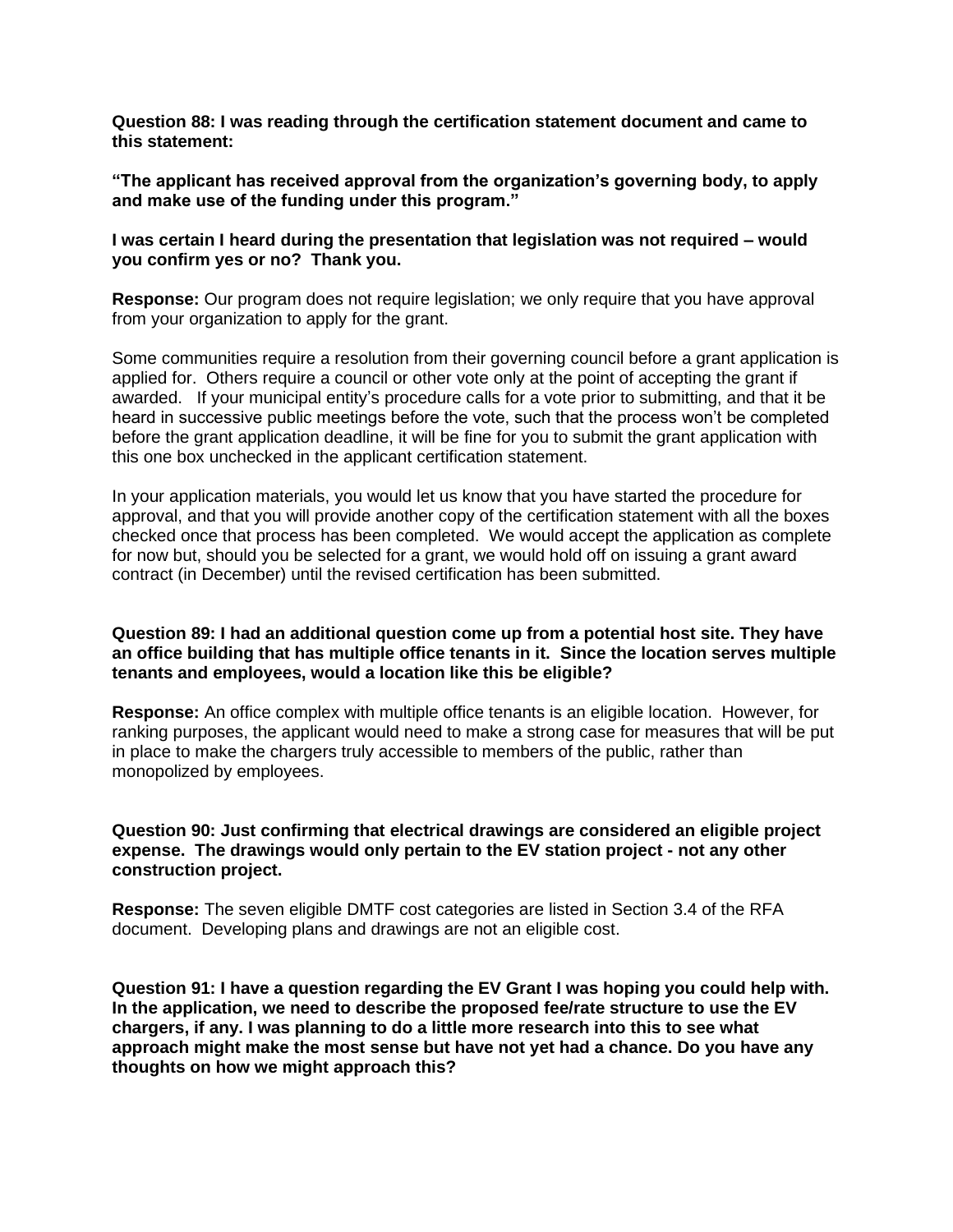**Question 88: I was reading through the certification statement document and came to this statement:**

**"The applicant has received approval from the organization's governing body, to apply and make use of the funding under this program."**

**I was certain I heard during the presentation that legislation was not required – would you confirm yes or no? Thank you.**

**Response:** Our program does not require legislation; we only require that you have approval from your organization to apply for the grant.

Some communities require a resolution from their governing council before a grant application is applied for. Others require a council or other vote only at the point of accepting the grant if awarded. If your municipal entity's procedure calls for a vote prior to submitting, and that it be heard in successive public meetings before the vote, such that the process won't be completed before the grant application deadline, it will be fine for you to submit the grant application with this one box unchecked in the applicant certification statement.

In your application materials, you would let us know that you have started the procedure for approval, and that you will provide another copy of the certification statement with all the boxes checked once that process has been completed. We would accept the application as complete for now but, should you be selected for a grant, we would hold off on issuing a grant award contract (in December) until the revised certification has been submitted.

## **Question 89: I had an additional question come up from a potential host site. They have an office building that has multiple office tenants in it. Since the location serves multiple tenants and employees, would a location like this be eligible?**

**Response:** An office complex with multiple office tenants is an eligible location. However, for ranking purposes, the applicant would need to make a strong case for measures that will be put in place to make the chargers truly accessible to members of the public, rather than monopolized by employees.

## **Question 90: Just confirming that electrical drawings are considered an eligible project expense. The drawings would only pertain to the EV station project - not any other construction project.**

**Response:** The seven eligible DMTF cost categories are listed in Section 3.4 of the RFA document. Developing plans and drawings are not an eligible cost.

**Question 91: I have a question regarding the EV Grant I was hoping you could help with. In the application, we need to describe the proposed fee/rate structure to use the EV chargers, if any. I was planning to do a little more research into this to see what approach might make the most sense but have not yet had a chance. Do you have any thoughts on how we might approach this?**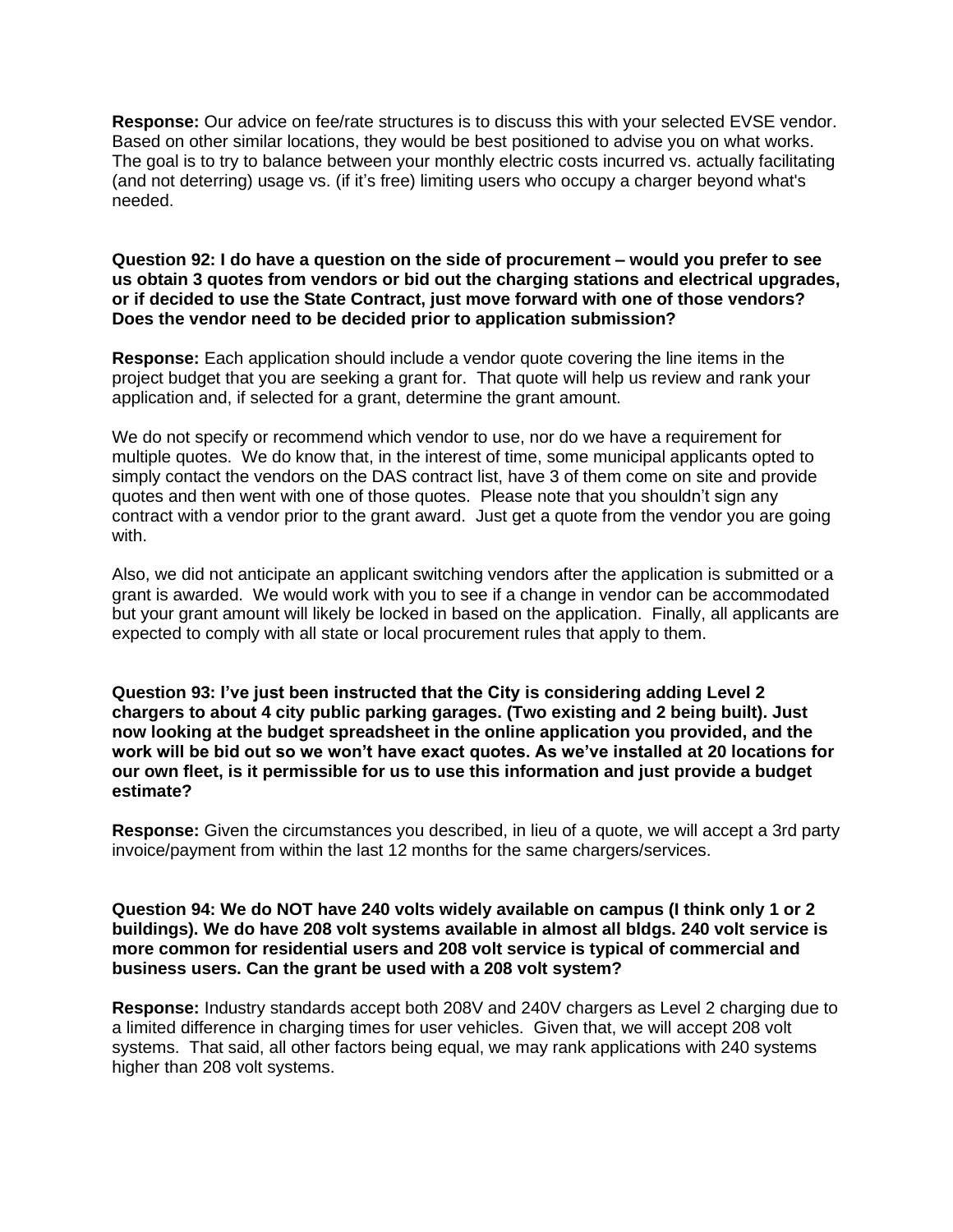**Response:** Our advice on fee/rate structures is to discuss this with your selected EVSE vendor. Based on other similar locations, they would be best positioned to advise you on what works. The goal is to try to balance between your monthly electric costs incurred vs. actually facilitating (and not deterring) usage vs. (if it's free) limiting users who occupy a charger beyond what's needed.

### **Question 92: I do have a question on the side of procurement – would you prefer to see us obtain 3 quotes from vendors or bid out the charging stations and electrical upgrades, or if decided to use the State Contract, just move forward with one of those vendors? Does the vendor need to be decided prior to application submission?**

**Response:** Each application should include a vendor quote covering the line items in the project budget that you are seeking a grant for. That quote will help us review and rank your application and, if selected for a grant, determine the grant amount.

We do not specify or recommend which vendor to use, nor do we have a requirement for multiple quotes. We do know that, in the interest of time, some municipal applicants opted to simply contact the vendors on the DAS contract list, have 3 of them come on site and provide quotes and then went with one of those quotes. Please note that you shouldn't sign any contract with a vendor prior to the grant award. Just get a quote from the vendor you are going with.

Also, we did not anticipate an applicant switching vendors after the application is submitted or a grant is awarded. We would work with you to see if a change in vendor can be accommodated but your grant amount will likely be locked in based on the application. Finally, all applicants are expected to comply with all state or local procurement rules that apply to them.

**Question 93: I've just been instructed that the City is considering adding Level 2 chargers to about 4 city public parking garages. (Two existing and 2 being built). Just now looking at the budget spreadsheet in the online application you provided, and the work will be bid out so we won't have exact quotes. As we've installed at 20 locations for our own fleet, is it permissible for us to use this information and just provide a budget estimate?**

**Response:** Given the circumstances you described, in lieu of a quote, we will accept a 3rd party invoice/payment from within the last 12 months for the same chargers/services.

# **Question 94: We do NOT have 240 volts widely available on campus (I think only 1 or 2 buildings). We do have 208 volt systems available in almost all bldgs. 240 volt service is more common for residential users and 208 volt service is typical of commercial and business users. Can the grant be used with a 208 volt system?**

**Response:** Industry standards accept both 208V and 240V chargers as Level 2 charging due to a limited difference in charging times for user vehicles. Given that, we will accept 208 volt systems. That said, all other factors being equal, we may rank applications with 240 systems higher than 208 volt systems.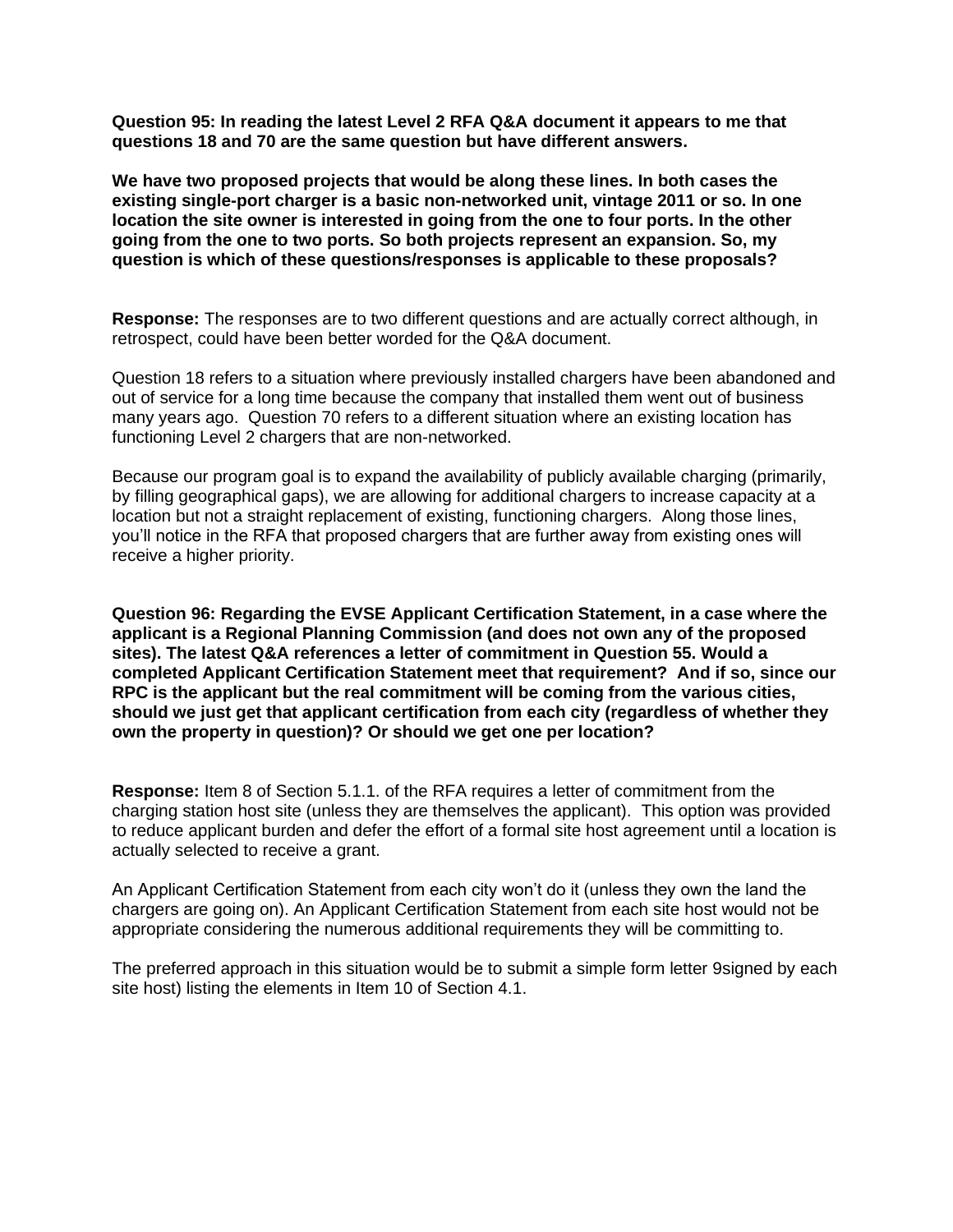**Question 95: In reading the latest Level 2 RFA Q&A document it appears to me that questions 18 and 70 are the same question but have different answers.**

**We have two proposed projects that would be along these lines. In both cases the existing single-port charger is a basic non-networked unit, vintage 2011 or so. In one location the site owner is interested in going from the one to four ports. In the other going from the one to two ports. So both projects represent an expansion. So, my question is which of these questions/responses is applicable to these proposals?**

**Response:** The responses are to two different questions and are actually correct although, in retrospect, could have been better worded for the Q&A document.

Question 18 refers to a situation where previously installed chargers have been abandoned and out of service for a long time because the company that installed them went out of business many years ago. Question 70 refers to a different situation where an existing location has functioning Level 2 chargers that are non-networked.

Because our program goal is to expand the availability of publicly available charging (primarily, by filling geographical gaps), we are allowing for additional chargers to increase capacity at a location but not a straight replacement of existing, functioning chargers. Along those lines, you'll notice in the RFA that proposed chargers that are further away from existing ones will receive a higher priority.

**Question 96: Regarding the EVSE Applicant Certification Statement, in a case where the applicant is a Regional Planning Commission (and does not own any of the proposed sites). The latest Q&A references a letter of commitment in Question 55. Would a completed Applicant Certification Statement meet that requirement? And if so, since our RPC is the applicant but the real commitment will be coming from the various cities, should we just get that applicant certification from each city (regardless of whether they own the property in question)? Or should we get one per location?**

**Response:** Item 8 of Section 5.1.1. of the RFA requires a letter of commitment from the charging station host site (unless they are themselves the applicant). This option was provided to reduce applicant burden and defer the effort of a formal site host agreement until a location is actually selected to receive a grant.

An Applicant Certification Statement from each city won't do it (unless they own the land the chargers are going on). An Applicant Certification Statement from each site host would not be appropriate considering the numerous additional requirements they will be committing to.

The preferred approach in this situation would be to submit a simple form letter 9signed by each site host) listing the elements in Item 10 of Section 4.1.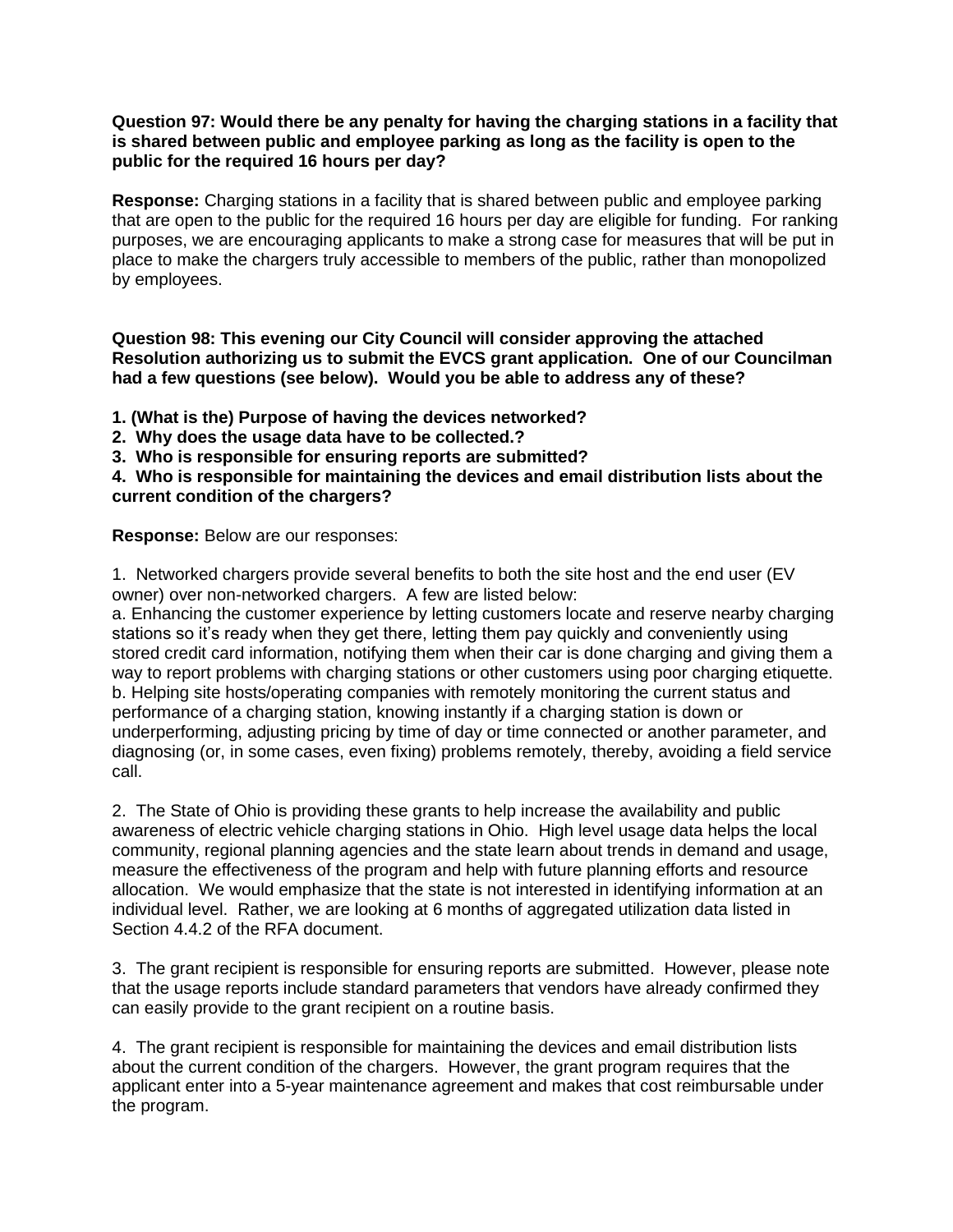# **Question 97: Would there be any penalty for having the charging stations in a facility that is shared between public and employee parking as long as the facility is open to the public for the required 16 hours per day?**

**Response:** Charging stations in a facility that is shared between public and employee parking that are open to the public for the required 16 hours per day are eligible for funding. For ranking purposes, we are encouraging applicants to make a strong case for measures that will be put in place to make the chargers truly accessible to members of the public, rather than monopolized by employees.

# **Question 98: This evening our City Council will consider approving the attached Resolution authorizing us to submit the EVCS grant application. One of our Councilman had a few questions (see below). Would you be able to address any of these?**

**1. (What is the) Purpose of having the devices networked?**

**2. Why does the usage data have to be collected.?**

**3. Who is responsible for ensuring reports are submitted?**

**4. Who is responsible for maintaining the devices and email distribution lists about the current condition of the chargers?**

**Response:** Below are our responses:

1. Networked chargers provide several benefits to both the site host and the end user (EV owner) over non-networked chargers. A few are listed below:

a. Enhancing the customer experience by letting customers locate and reserve nearby charging stations so it's ready when they get there, letting them pay quickly and conveniently using stored credit card information, notifying them when their car is done charging and giving them a way to report problems with charging stations or other customers using poor charging etiquette. b. Helping site hosts/operating companies with remotely monitoring the current status and performance of a charging station, knowing instantly if a charging station is down or underperforming, adjusting pricing by time of day or time connected or another parameter, and diagnosing (or, in some cases, even fixing) problems remotely, thereby, avoiding a field service call.

2. The State of Ohio is providing these grants to help increase the availability and public awareness of electric vehicle charging stations in Ohio. High level usage data helps the local community, regional planning agencies and the state learn about trends in demand and usage, measure the effectiveness of the program and help with future planning efforts and resource allocation. We would emphasize that the state is not interested in identifying information at an individual level. Rather, we are looking at 6 months of aggregated utilization data listed in Section 4.4.2 of the RFA document.

3. The grant recipient is responsible for ensuring reports are submitted. However, please note that the usage reports include standard parameters that vendors have already confirmed they can easily provide to the grant recipient on a routine basis.

4. The grant recipient is responsible for maintaining the devices and email distribution lists about the current condition of the chargers. However, the grant program requires that the applicant enter into a 5-year maintenance agreement and makes that cost reimbursable under the program.